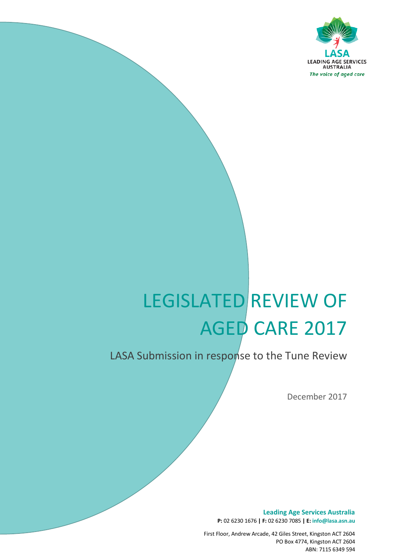

# LEGISLATED REVIEW OF AGED CARE 2017

# LASA Submission in response to the Tune Review

*The voice of aged care*

December 2017

**Leading Age Services Australia P:** 02 6230 1676 **| F:** 02 6230 7085 **| E: info@lasa.asn.au**

First Floor, Andrew Arcade, 42 Giles Street, Kingston ACT 2604 PO Box 4774, Kingston ACT 2604 ABN: 7115 6349 594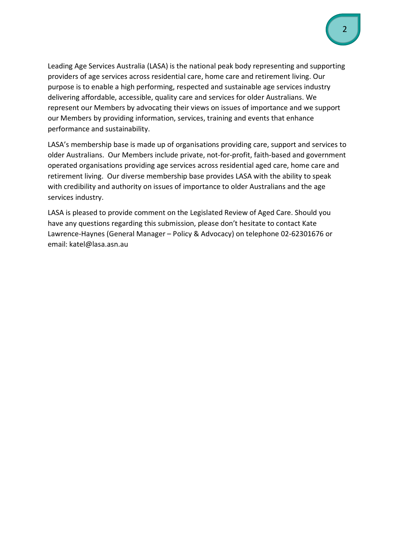Leading Age Services Australia (LASA) is the national peak body representing and supporting providers of age services across residential care, home care and retirement living. Our purpose is to enable a high performing, respected and sustainable age services industry delivering affordable, accessible, quality care and services for older Australians. We represent our Members by advocating their views on issues of importance and we support our Members by providing information, services, training and events that enhance performance and sustainability.

LASA's membership base is made up of organisations providing care, support and services to older Australians. Our Members include private, not-for-profit, faith-based and government operated organisations providing age services across residential aged care, home care and retirement living. Our diverse membership base provides LASA with the ability to speak with credibility and authority on issues of importance to older Australians and the age services industry.

LASA is pleased to provide comment on the Legislated Review of Aged Care. Should you have any questions regarding this submission, please don't hesitate to contact Kate Lawrence-Haynes (General Manager – Policy & Advocacy) on telephone 02-62301676 or email: katel@lasa.asn.au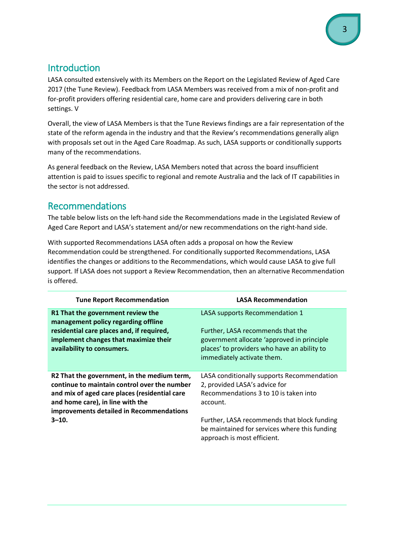# Introduction

LASA consulted extensively with its Members on the Report on the Legislated Review of Aged Care 2017 (the Tune Review). Feedback from LASA Members was received from a mix of non-profit and for-profit providers offering residential care, home care and providers delivering care in both settings. V

Overall, the view of LASA Members is that the Tune Reviews findings are a fair representation of the state of the reform agenda in the industry and that the Review's recommendations generally align with proposals set out in the Aged Care Roadmap. As such, LASA supports or conditionally supports many of the recommendations.

As general feedback on the Review, LASA Members noted that across the board insufficient attention is paid to issues specific to regional and remote Australia and the lack of IT capabilities in the sector is not addressed.

# Recommendations

The table below lists on the left-hand side the Recommendations made in the Legislated Review of Aged Care Report and LASA's statement and/or new recommendations on the right-hand side.

With supported Recommendations LASA often adds a proposal on how the Review Recommendation could be strengthened. For conditionally supported Recommendations, LASA identifies the changes or additions to the Recommendations, which would cause LASA to give full support. If LASA does not support a Review Recommendation, then an alternative Recommendation is offered.

| <b>Tune Report Recommendation</b>                                                                                                                                                                                            | <b>LASA Recommendation</b>                                                                                                                                   |
|------------------------------------------------------------------------------------------------------------------------------------------------------------------------------------------------------------------------------|--------------------------------------------------------------------------------------------------------------------------------------------------------------|
| R1 That the government review the<br>management policy regarding offline                                                                                                                                                     | LASA supports Recommendation 1                                                                                                                               |
| residential care places and, if required,<br>implement changes that maximize their<br>availability to consumers.                                                                                                             | Further, LASA recommends that the<br>government allocate 'approved in principle<br>places' to providers who have an ability to<br>immediately activate them. |
| R2 That the government, in the medium term,<br>continue to maintain control over the number<br>and mix of aged care places (residential care<br>and home care), in line with the<br>improvements detailed in Recommendations | LASA conditionally supports Recommendation<br>2, provided LASA's advice for<br>Recommendations 3 to 10 is taken into<br>account.                             |
| $3 - 10.$                                                                                                                                                                                                                    | Further, LASA recommends that block funding<br>be maintained for services where this funding<br>approach is most efficient.                                  |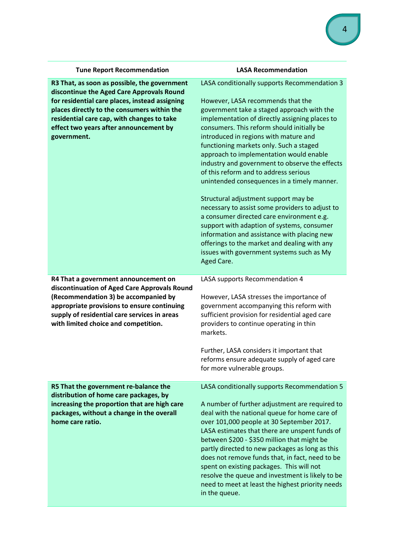| <b>Tune Report Recommendation</b>                                                                                                                                                                                                                                                                 | <b>LASA Recommendation</b>                                                                                                                                                                                                                                                                                                                                                                                                                                                                                                                                                                                                                                                                                                                                                                                                                               |
|---------------------------------------------------------------------------------------------------------------------------------------------------------------------------------------------------------------------------------------------------------------------------------------------------|----------------------------------------------------------------------------------------------------------------------------------------------------------------------------------------------------------------------------------------------------------------------------------------------------------------------------------------------------------------------------------------------------------------------------------------------------------------------------------------------------------------------------------------------------------------------------------------------------------------------------------------------------------------------------------------------------------------------------------------------------------------------------------------------------------------------------------------------------------|
| R3 That, as soon as possible, the government<br>discontinue the Aged Care Approvals Round<br>for residential care places, instead assigning<br>places directly to the consumers within the<br>residential care cap, with changes to take<br>effect two years after announcement by<br>government. | LASA conditionally supports Recommendation 3<br>However, LASA recommends that the<br>government take a staged approach with the<br>implementation of directly assigning places to<br>consumers. This reform should initially be<br>introduced in regions with mature and<br>functioning markets only. Such a staged<br>approach to implementation would enable<br>industry and government to observe the effects<br>of this reform and to address serious<br>unintended consequences in a timely manner.<br>Structural adjustment support may be<br>necessary to assist some providers to adjust to<br>a consumer directed care environment e.g.<br>support with adaption of systems, consumer<br>information and assistance with placing new<br>offerings to the market and dealing with any<br>issues with government systems such as My<br>Aged Care. |
| R4 That a government announcement on<br>discontinuation of Aged Care Approvals Round<br>(Recommendation 3) be accompanied by<br>appropriate provisions to ensure continuing<br>supply of residential care services in areas<br>with limited choice and competition.                               | LASA supports Recommendation 4<br>However, LASA stresses the importance of<br>government accompanying this reform with<br>sufficient provision for residential aged care<br>providers to continue operating in thin<br>markets.<br>Further, LASA considers it important that<br>reforms ensure adequate supply of aged care<br>for more vulnerable groups.                                                                                                                                                                                                                                                                                                                                                                                                                                                                                               |
| R5 That the government re-balance the<br>distribution of home care packages, by<br>increasing the proportion that are high care<br>packages, without a change in the overall<br>home care ratio.                                                                                                  | LASA conditionally supports Recommendation 5<br>A number of further adjustment are required to<br>deal with the national queue for home care of<br>over 101,000 people at 30 September 2017.<br>LASA estimates that there are unspent funds of<br>between \$200 - \$350 million that might be<br>partly directed to new packages as long as this<br>does not remove funds that, in fact, need to be<br>spent on existing packages. This will not<br>resolve the queue and investment is likely to be<br>need to meet at least the highest priority needs<br>in the queue.                                                                                                                                                                                                                                                                                |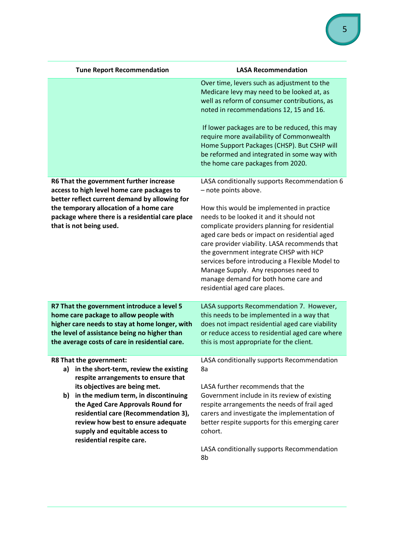| <b>Tune Report Recommendation</b>                                                                                                                                                                                                                                                                                                                                               | <b>LASA Recommendation</b>                                                                                                                                                                                                                                                                                                                                                                                                                                                                                                   |
|---------------------------------------------------------------------------------------------------------------------------------------------------------------------------------------------------------------------------------------------------------------------------------------------------------------------------------------------------------------------------------|------------------------------------------------------------------------------------------------------------------------------------------------------------------------------------------------------------------------------------------------------------------------------------------------------------------------------------------------------------------------------------------------------------------------------------------------------------------------------------------------------------------------------|
|                                                                                                                                                                                                                                                                                                                                                                                 | Over time, levers such as adjustment to the<br>Medicare levy may need to be looked at, as<br>well as reform of consumer contributions, as<br>noted in recommendations 12, 15 and 16.<br>If lower packages are to be reduced, this may<br>require more availability of Commonwealth<br>Home Support Packages (CHSP). But CSHP will<br>be reformed and integrated in some way with<br>the home care packages from 2020.                                                                                                        |
| R6 That the government further increase<br>access to high level home care packages to<br>better reflect current demand by allowing for<br>the temporary allocation of a home care<br>package where there is a residential care place<br>that is not being used.                                                                                                                 | LASA conditionally supports Recommendation 6<br>- note points above.<br>How this would be implemented in practice<br>needs to be looked it and it should not<br>complicate providers planning for residential<br>aged care beds or impact on residential aged<br>care provider viability. LASA recommends that<br>the government integrate CHSP with HCP<br>services before introducing a Flexible Model to<br>Manage Supply. Any responses need to<br>manage demand for both home care and<br>residential aged care places. |
| R7 That the government introduce a level 5<br>home care package to allow people with<br>higher care needs to stay at home longer, with<br>the level of assistance being no higher than<br>the average costs of care in residential care.                                                                                                                                        | LASA supports Recommendation 7. However,<br>this needs to be implemented in a way that<br>does not impact residential aged care viability<br>or reduce access to residential aged care where<br>this is most appropriate for the client.                                                                                                                                                                                                                                                                                     |
| R8 That the government:<br>in the short-term, review the existing<br>a)<br>respite arrangements to ensure that<br>its objectives are being met.<br>in the medium term, in discontinuing<br>b)<br>the Aged Care Approvals Round for<br>residential care (Recommendation 3),<br>review how best to ensure adequate<br>supply and equitable access to<br>residential respite care. | LASA conditionally supports Recommendation<br>8a<br>LASA further recommends that the<br>Government include in its review of existing<br>respite arrangements the needs of frail aged<br>carers and investigate the implementation of<br>better respite supports for this emerging carer<br>cohort.<br>LASA conditionally supports Recommendation<br>8b                                                                                                                                                                       |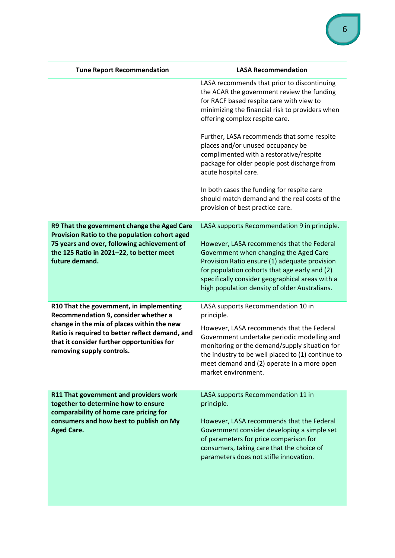| <b>Tune Report Recommendation</b>                                                                                                                                                                         | <b>LASA Recommendation</b>                                                                                                                                                                                                                                                                                                                |
|-----------------------------------------------------------------------------------------------------------------------------------------------------------------------------------------------------------|-------------------------------------------------------------------------------------------------------------------------------------------------------------------------------------------------------------------------------------------------------------------------------------------------------------------------------------------|
|                                                                                                                                                                                                           | LASA recommends that prior to discontinuing<br>the ACAR the government review the funding<br>for RACF based respite care with view to<br>minimizing the financial risk to providers when<br>offering complex respite care.                                                                                                                |
|                                                                                                                                                                                                           | Further, LASA recommends that some respite<br>places and/or unused occupancy be<br>complimented with a restorative/respite<br>package for older people post discharge from<br>acute hospital care.                                                                                                                                        |
|                                                                                                                                                                                                           | In both cases the funding for respite care<br>should match demand and the real costs of the<br>provision of best practice care.                                                                                                                                                                                                           |
| R9 That the government change the Aged Care<br>Provision Ratio to the population cohort aged<br>75 years and over, following achievement of<br>the 125 Ratio in 2021-22, to better meet<br>future demand. | LASA supports Recommendation 9 in principle.<br>However, LASA recommends that the Federal<br>Government when changing the Aged Care<br>Provision Ratio ensure (1) adequate provision<br>for population cohorts that age early and (2)<br>specifically consider geographical areas with a<br>high population density of older Australians. |
| R10 That the government, in implementing<br>Recommendation 9, consider whether a                                                                                                                          | LASA supports Recommendation 10 in<br>principle.                                                                                                                                                                                                                                                                                          |
| change in the mix of places within the new<br>Ratio is required to better reflect demand, and<br>that it consider further opportunities for<br>removing supply controls.                                  | However, LASA recommends that the Federal<br>Government undertake periodic modelling and<br>monitoring or the demand/supply situation for<br>the industry to be well placed to (1) continue to<br>meet demand and (2) operate in a more open<br>market environment.                                                                       |
| R11 That government and providers work<br>together to determine how to ensure                                                                                                                             | LASA supports Recommendation 11 in<br>principle.                                                                                                                                                                                                                                                                                          |
| comparability of home care pricing for<br>consumers and how best to publish on My<br><b>Aged Care.</b>                                                                                                    | However, LASA recommends that the Federal<br>Government consider developing a simple set<br>of parameters for price comparison for<br>consumers, taking care that the choice of<br>parameters does not stifle innovation.                                                                                                                 |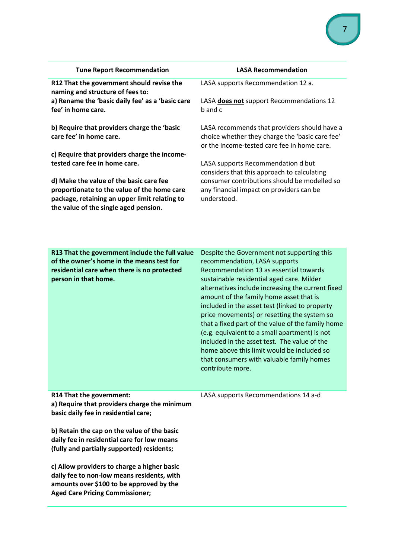| <b>Tune Report Recommendation</b>                                                                                                                                                | <b>LASA Recommendation</b>                                                                                                                                                                                                                                                                                                                                                                                                                                                                                                                              |
|----------------------------------------------------------------------------------------------------------------------------------------------------------------------------------|---------------------------------------------------------------------------------------------------------------------------------------------------------------------------------------------------------------------------------------------------------------------------------------------------------------------------------------------------------------------------------------------------------------------------------------------------------------------------------------------------------------------------------------------------------|
| R12 That the government should revise the<br>naming and structure of fees to:                                                                                                    | LASA supports Recommendation 12 a.                                                                                                                                                                                                                                                                                                                                                                                                                                                                                                                      |
| a) Rename the 'basic daily fee' as a 'basic care<br>fee' in home care.                                                                                                           | LASA does not support Recommendations 12<br>b and c                                                                                                                                                                                                                                                                                                                                                                                                                                                                                                     |
| b) Require that providers charge the 'basic<br>care fee' in home care.                                                                                                           | LASA recommends that providers should have a<br>choice whether they charge the 'basic care fee'<br>or the income-tested care fee in home care.                                                                                                                                                                                                                                                                                                                                                                                                          |
| c) Require that providers charge the income-<br>tested care fee in home care.                                                                                                    | LASA supports Recommendation d but<br>considers that this approach to calculating                                                                                                                                                                                                                                                                                                                                                                                                                                                                       |
| d) Make the value of the basic care fee<br>proportionate to the value of the home care<br>package, retaining an upper limit relating to<br>the value of the single aged pension. | consumer contributions should be modelled so<br>any financial impact on providers can be<br>understood.                                                                                                                                                                                                                                                                                                                                                                                                                                                 |
|                                                                                                                                                                                  |                                                                                                                                                                                                                                                                                                                                                                                                                                                                                                                                                         |
| R13 That the government include the full value                                                                                                                                   | Despite the Government not supporting this                                                                                                                                                                                                                                                                                                                                                                                                                                                                                                              |
| of the owner's home in the means test for                                                                                                                                        | recommendation, LASA supports                                                                                                                                                                                                                                                                                                                                                                                                                                                                                                                           |
| residential care when there is no protected                                                                                                                                      | Recommendation 13 as essential towards                                                                                                                                                                                                                                                                                                                                                                                                                                                                                                                  |
| person in that home.<br>R14 That the government:                                                                                                                                 | sustainable residential aged care. Milder<br>alternatives include increasing the current fixed<br>amount of the family home asset that is<br>included in the asset test (linked to property<br>price movements) or resetting the system so<br>that a fixed part of the value of the family home<br>(e.g. equivalent to a small apartment) is not<br>included in the asset test. The value of the<br>home above this limit would be included so<br>that consumers with valuable family homes<br>contribute more.<br>LASA supports Recommendations 14 a-d |
| a) Require that providers charge the minimum<br>basic daily fee in residential care;                                                                                             |                                                                                                                                                                                                                                                                                                                                                                                                                                                                                                                                                         |
| b) Retain the cap on the value of the basic<br>daily fee in residential care for low means<br>(fully and partially supported) residents;                                         |                                                                                                                                                                                                                                                                                                                                                                                                                                                                                                                                                         |
| c) Allow providers to charge a higher basic<br>daily fee to non-low means residents, with<br>amounts over \$100 to be approved by the<br><b>Aged Care Pricing Commissioner;</b>  |                                                                                                                                                                                                                                                                                                                                                                                                                                                                                                                                                         |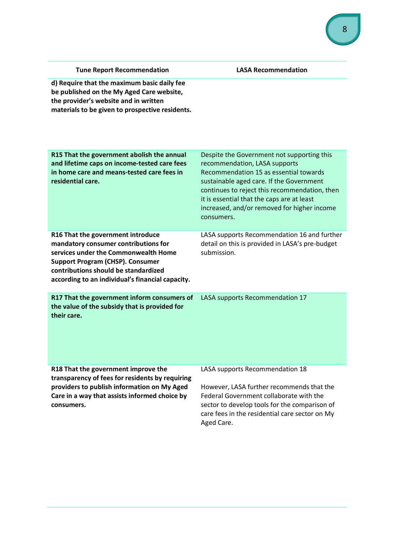| <b>Tune Report Recommendation</b>                                                                                                                                                                                                                        | <b>LASA Recommendation</b>                                                                                                                                                                                                                                                                                                    |
|----------------------------------------------------------------------------------------------------------------------------------------------------------------------------------------------------------------------------------------------------------|-------------------------------------------------------------------------------------------------------------------------------------------------------------------------------------------------------------------------------------------------------------------------------------------------------------------------------|
| d) Require that the maximum basic daily fee<br>be published on the My Aged Care website,<br>the provider's website and in written<br>materials to be given to prospective residents.                                                                     |                                                                                                                                                                                                                                                                                                                               |
| R15 That the government abolish the annual<br>and lifetime caps on income-tested care fees<br>in home care and means-tested care fees in<br>residential care.                                                                                            | Despite the Government not supporting this<br>recommendation, LASA supports<br>Recommendation 15 as essential towards<br>sustainable aged care. If the Government<br>continues to reject this recommendation, then<br>it is essential that the caps are at least<br>increased, and/or removed for higher income<br>consumers. |
| R16 That the government introduce<br>mandatory consumer contributions for<br>services under the Commonwealth Home<br><b>Support Program (CHSP). Consumer</b><br>contributions should be standardized<br>according to an individual's financial capacity. | LASA supports Recommendation 16 and further<br>detail on this is provided in LASA's pre-budget<br>submission.                                                                                                                                                                                                                 |
| R17 That the government inform consumers of<br>the value of the subsidy that is provided for<br>their care.                                                                                                                                              | LASA supports Recommendation 17                                                                                                                                                                                                                                                                                               |
| R18 That the government improve the<br>transparency of fees for residents by requiring<br>providers to publish information on My Aged<br>Care in a way that assists informed choice by<br>consumers.                                                     | LASA supports Recommendation 18<br>However, LASA further recommends that the<br>Federal Government collaborate with the<br>sector to develop tools for the comparison of<br>care fees in the residential care sector on My                                                                                                    |

Aged Care.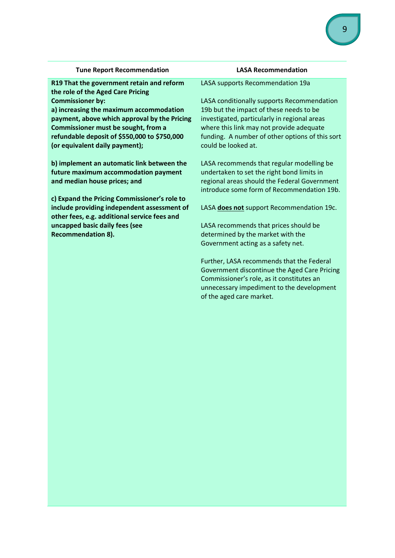| <b>Tune Report Recommendation</b>            | <b>LASA Recommendation</b>                      |
|----------------------------------------------|-------------------------------------------------|
| R19 That the government retain and reform    | LASA supports Recommendation 19a                |
| the role of the Aged Care Pricing            |                                                 |
| <b>Commissioner by:</b>                      | LASA conditionally supports Recommendation      |
| a) increasing the maximum accommodation      | 19b but the impact of these needs to be         |
| payment, above which approval by the Pricing | investigated, particularly in regional areas    |
| Commissioner must be sought, from a          | where this link may not provide adequate        |
| refundable deposit of \$550,000 to \$750,000 | funding. A number of other options of this sort |
| (or equivalent daily payment);               | could be looked at.                             |
| b) implement an automatic link between the   | LASA recommends that regular modelling be       |
| future maximum accommodation payment         | undertaken to set the right bond limits in      |
| and median house prices; and                 | regional areas should the Federal Government    |
|                                              | introduce some form of Recommendation 19b.      |
| c) Expand the Pricing Commissioner's role to |                                                 |
| include providing independent assessment of  | LASA does not support Recommendation 19c.       |
| other fees, e.g. additional service fees and |                                                 |
| uncapped basic daily fees (see               | LASA recommends that prices should be           |
| <b>Recommendation 8).</b>                    | determined by the market with the               |
|                                              | Government acting as a safety net.              |
|                                              | Further, LASA recommends that the Federal       |
|                                              | Government discontinue the Aged Care Pricing    |
|                                              | Commissioner's role, as it constitutes an       |
|                                              | unnecessary impediment to the development       |
|                                              | of the aged care market.                        |
|                                              |                                                 |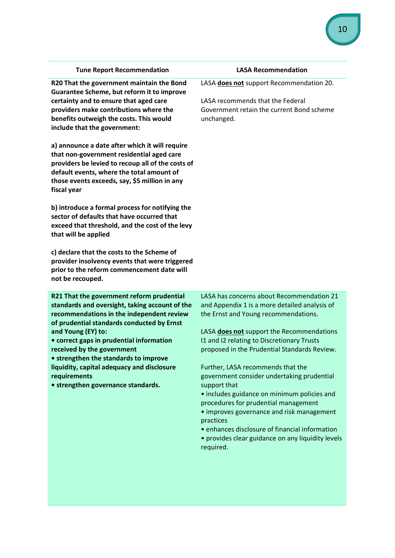| <b>Tune Report Recommendation</b>                                                                                                                                                                                                                                                                                                                                                                                                   | <b>LASA Recommendation</b>                                                                                                                                                                                                                                                                                                                                                                                                                                                                                                                                                                                                                            |
|-------------------------------------------------------------------------------------------------------------------------------------------------------------------------------------------------------------------------------------------------------------------------------------------------------------------------------------------------------------------------------------------------------------------------------------|-------------------------------------------------------------------------------------------------------------------------------------------------------------------------------------------------------------------------------------------------------------------------------------------------------------------------------------------------------------------------------------------------------------------------------------------------------------------------------------------------------------------------------------------------------------------------------------------------------------------------------------------------------|
| R20 That the government maintain the Bond<br>Guarantee Scheme, but reform it to improve<br>certainty and to ensure that aged care<br>providers make contributions where the<br>benefits outweigh the costs. This would<br>include that the government:                                                                                                                                                                              | LASA does not support Recommendation 20.<br>LASA recommends that the Federal<br>Government retain the current Bond scheme<br>unchanged.                                                                                                                                                                                                                                                                                                                                                                                                                                                                                                               |
| a) announce a date after which it will require<br>that non-government residential aged care<br>providers be levied to recoup all of the costs of<br>default events, where the total amount of<br>those events exceeds, say, \$5 million in any<br>fiscal year                                                                                                                                                                       |                                                                                                                                                                                                                                                                                                                                                                                                                                                                                                                                                                                                                                                       |
| b) introduce a formal process for notifying the<br>sector of defaults that have occurred that<br>exceed that threshold, and the cost of the levy<br>that will be applied                                                                                                                                                                                                                                                            |                                                                                                                                                                                                                                                                                                                                                                                                                                                                                                                                                                                                                                                       |
| c) declare that the costs to the Scheme of<br>provider insolvency events that were triggered<br>prior to the reform commencement date will<br>not be recouped.                                                                                                                                                                                                                                                                      |                                                                                                                                                                                                                                                                                                                                                                                                                                                                                                                                                                                                                                                       |
| R21 That the government reform prudential<br>standards and oversight, taking account of the<br>recommendations in the independent review<br>of prudential standards conducted by Ernst<br>and Young (EY) to:<br>• correct gaps in prudential information<br>received by the government<br>• strengthen the standards to improve<br>liquidity, capital adequacy and disclosure<br>requirements<br>• strengthen governance standards. | LASA has concerns about Recommendation 21<br>and Appendix 1 is a more detailed analysis of<br>the Ernst and Young recommendations.<br>LASA does not support the Recommendations<br>I1 and I2 relating to Discretionary Trusts<br>proposed in the Prudential Standards Review.<br>Further, LASA recommends that the<br>government consider undertaking prudential<br>support that<br>• includes guidance on minimum policies and<br>procedures for prudential management<br>• improves governance and risk management<br>practices<br>• enhances disclosure of financial information<br>• provides clear guidance on any liquidity levels<br>required. |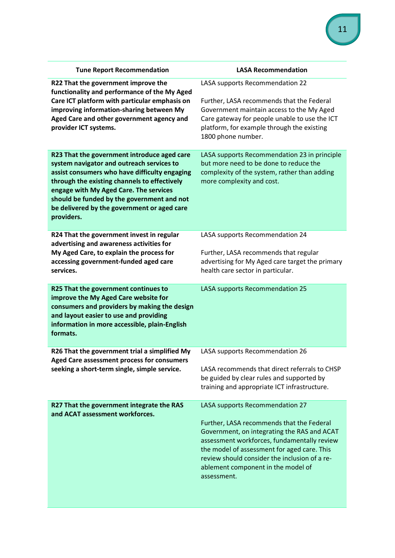| <b>Tune Report Recommendation</b>                                                                                                                                                                                                                                                                                                              | <b>LASA Recommendation</b>                                                                                                                                                                                                                                                                                                      |
|------------------------------------------------------------------------------------------------------------------------------------------------------------------------------------------------------------------------------------------------------------------------------------------------------------------------------------------------|---------------------------------------------------------------------------------------------------------------------------------------------------------------------------------------------------------------------------------------------------------------------------------------------------------------------------------|
| R22 That the government improve the<br>functionality and performance of the My Aged<br>Care ICT platform with particular emphasis on<br>improving information-sharing between My<br>Aged Care and other government agency and<br>provider ICT systems.                                                                                         | LASA supports Recommendation 22<br>Further, LASA recommends that the Federal<br>Government maintain access to the My Aged<br>Care gateway for people unable to use the ICT<br>platform, for example through the existing<br>1800 phone number.                                                                                  |
| R23 That the government introduce aged care<br>system navigator and outreach services to<br>assist consumers who have difficulty engaging<br>through the existing channels to effectively<br>engage with My Aged Care. The services<br>should be funded by the government and not<br>be delivered by the government or aged care<br>providers. | LASA supports Recommendation 23 in principle<br>but more need to be done to reduce the<br>complexity of the system, rather than adding<br>more complexity and cost.                                                                                                                                                             |
| R24 That the government invest in regular<br>advertising and awareness activities for<br>My Aged Care, to explain the process for<br>accessing government-funded aged care<br>services.                                                                                                                                                        | LASA supports Recommendation 24<br>Further, LASA recommends that regular<br>advertising for My Aged care target the primary<br>health care sector in particular.                                                                                                                                                                |
| R25 That the government continues to<br>improve the My Aged Care website for<br>consumers and providers by making the design<br>and layout easier to use and providing<br>information in more accessible, plain-English<br>formats.                                                                                                            | LASA supports Recommendation 25                                                                                                                                                                                                                                                                                                 |
| R26 That the government trial a simplified My<br>Aged Care assessment process for consumers<br>seeking a short-term single, simple service.                                                                                                                                                                                                    | LASA supports Recommendation 26<br>LASA recommends that direct referrals to CHSP<br>be guided by clear rules and supported by<br>training and appropriate ICT infrastructure.                                                                                                                                                   |
| R27 That the government integrate the RAS<br>and ACAT assessment workforces.                                                                                                                                                                                                                                                                   | LASA supports Recommendation 27<br>Further, LASA recommends that the Federal<br>Government, on integrating the RAS and ACAT<br>assessment workforces, fundamentally review<br>the model of assessment for aged care. This<br>review should consider the inclusion of a re-<br>ablement component in the model of<br>assessment. |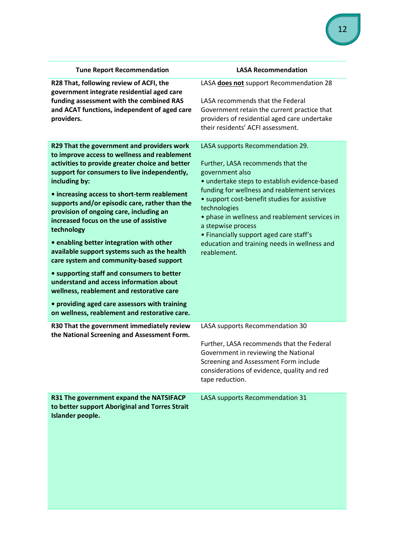| <b>Tune Report Recommendation</b>                                                                                                                                                                                                                                                                                                                                                                                                                                                                                                                                                                                                                                                                                                                                                                   | <b>LASA Recommendation</b>                                                                                                                                                                                                                                                                                                                                                                                                                  |
|-----------------------------------------------------------------------------------------------------------------------------------------------------------------------------------------------------------------------------------------------------------------------------------------------------------------------------------------------------------------------------------------------------------------------------------------------------------------------------------------------------------------------------------------------------------------------------------------------------------------------------------------------------------------------------------------------------------------------------------------------------------------------------------------------------|---------------------------------------------------------------------------------------------------------------------------------------------------------------------------------------------------------------------------------------------------------------------------------------------------------------------------------------------------------------------------------------------------------------------------------------------|
| R28 That, following review of ACFI, the<br>government integrate residential aged care<br>funding assessment with the combined RAS<br>and ACAT functions, independent of aged care<br>providers.                                                                                                                                                                                                                                                                                                                                                                                                                                                                                                                                                                                                     | LASA does not support Recommendation 28<br>LASA recommends that the Federal<br>Government retain the current practice that<br>providers of residential aged care undertake<br>their residents' ACFI assessment.                                                                                                                                                                                                                             |
| R29 That the government and providers work<br>to improve access to wellness and reablement<br>activities to provide greater choice and better<br>support for consumers to live independently,<br>including by:<br>• increasing access to short-term reablement<br>supports and/or episodic care, rather than the<br>provision of ongoing care, including an<br>increased focus on the use of assistive<br>technology<br>• enabling better integration with other<br>available support systems such as the health<br>care system and community-based support<br>• supporting staff and consumers to better<br>understand and access information about<br>wellness, reablement and restorative care<br>• providing aged care assessors with training<br>on wellness, reablement and restorative care. | LASA supports Recommendation 29.<br>Further, LASA recommends that the<br>government also<br>• undertake steps to establish evidence-based<br>funding for wellness and reablement services<br>• support cost-benefit studies for assistive<br>technologies<br>• phase in wellness and reablement services in<br>a stepwise process<br>• Financially support aged care staff's<br>education and training needs in wellness and<br>reablement. |
| R30 That the government immediately review<br>the National Screening and Assessment Form.                                                                                                                                                                                                                                                                                                                                                                                                                                                                                                                                                                                                                                                                                                           | LASA supports Recommendation 30<br>Further, LASA recommends that the Federal<br>Government in reviewing the National<br>Screening and Assessment Form include<br>considerations of evidence, quality and red<br>tape reduction.                                                                                                                                                                                                             |
| R31 The government expand the NATSIFACP<br>to better support Aboriginal and Torres Strait<br>Islander people.                                                                                                                                                                                                                                                                                                                                                                                                                                                                                                                                                                                                                                                                                       | LASA supports Recommendation 31                                                                                                                                                                                                                                                                                                                                                                                                             |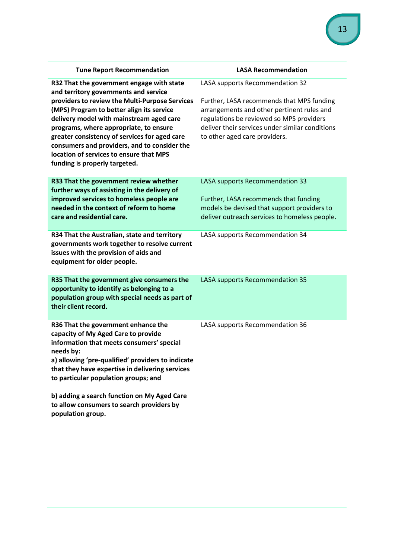| <b>Tune Report Recommendation</b>                                                                                                                                                                                                                                                                                                                                                                                                                    | <b>LASA Recommendation</b>                                                                                                                                                                                                                                 |
|------------------------------------------------------------------------------------------------------------------------------------------------------------------------------------------------------------------------------------------------------------------------------------------------------------------------------------------------------------------------------------------------------------------------------------------------------|------------------------------------------------------------------------------------------------------------------------------------------------------------------------------------------------------------------------------------------------------------|
| R32 That the government engage with state<br>and territory governments and service<br>providers to review the Multi-Purpose Services<br>(MPS) Program to better align its service<br>delivery model with mainstream aged care<br>programs, where appropriate, to ensure<br>greater consistency of services for aged care<br>consumers and providers, and to consider the<br>location of services to ensure that MPS<br>funding is properly targeted. | LASA supports Recommendation 32<br>Further, LASA recommends that MPS funding<br>arrangements and other pertinent rules and<br>regulations be reviewed so MPS providers<br>deliver their services under similar conditions<br>to other aged care providers. |
| R33 That the government review whether<br>further ways of assisting in the delivery of<br>improved services to homeless people are<br>needed in the context of reform to home<br>care and residential care.                                                                                                                                                                                                                                          | LASA supports Recommendation 33<br>Further, LASA recommends that funding<br>models be devised that support providers to<br>deliver outreach services to homeless people.                                                                                   |
| R34 That the Australian, state and territory<br>governments work together to resolve current<br>issues with the provision of aids and<br>equipment for older people.                                                                                                                                                                                                                                                                                 | LASA supports Recommendation 34                                                                                                                                                                                                                            |
| R35 That the government give consumers the<br>opportunity to identify as belonging to a<br>population group with special needs as part of<br>their client record.                                                                                                                                                                                                                                                                                    | LASA supports Recommendation 35                                                                                                                                                                                                                            |
| R36 That the government enhance the<br>capacity of My Aged Care to provide<br>information that meets consumers' special<br>needs by:<br>a) allowing 'pre-qualified' providers to indicate<br>that they have expertise in delivering services<br>to particular population groups; and<br>b) adding a search function on My Aged Care<br>to allow consumers to search providers by                                                                     | LASA supports Recommendation 36                                                                                                                                                                                                                            |
| population group.                                                                                                                                                                                                                                                                                                                                                                                                                                    |                                                                                                                                                                                                                                                            |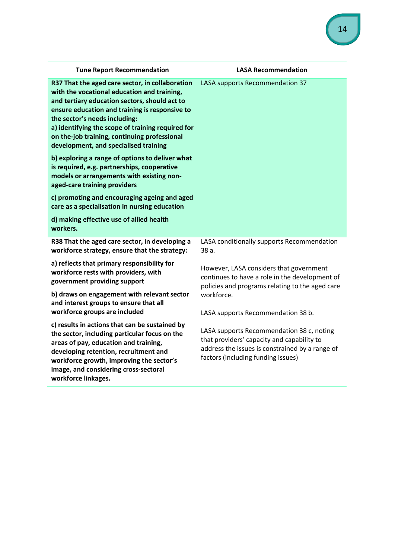| <b>Tune Report Recommendation</b>                                                                                                                                                                                                                                                                                                                                                | <b>LASA Recommendation</b>                                                                                                                                                       |
|----------------------------------------------------------------------------------------------------------------------------------------------------------------------------------------------------------------------------------------------------------------------------------------------------------------------------------------------------------------------------------|----------------------------------------------------------------------------------------------------------------------------------------------------------------------------------|
| R37 That the aged care sector, in collaboration<br>with the vocational education and training,<br>and tertiary education sectors, should act to<br>ensure education and training is responsive to<br>the sector's needs including:<br>a) identifying the scope of training required for<br>on the-job training, continuing professional<br>development, and specialised training | LASA supports Recommendation 37                                                                                                                                                  |
| b) exploring a range of options to deliver what<br>is required, e.g. partnerships, cooperative<br>models or arrangements with existing non-<br>aged-care training providers                                                                                                                                                                                                      |                                                                                                                                                                                  |
| c) promoting and encouraging ageing and aged<br>care as a specialisation in nursing education                                                                                                                                                                                                                                                                                    |                                                                                                                                                                                  |
| d) making effective use of allied health<br>workers.                                                                                                                                                                                                                                                                                                                             |                                                                                                                                                                                  |
| R38 That the aged care sector, in developing a<br>workforce strategy, ensure that the strategy:                                                                                                                                                                                                                                                                                  | LASA conditionally supports Recommendation<br>38 a.                                                                                                                              |
| a) reflects that primary responsibility for<br>workforce rests with providers, with<br>government providing support                                                                                                                                                                                                                                                              | However, LASA considers that government<br>continues to have a role in the development of<br>policies and programs relating to the aged care                                     |
| b) draws on engagement with relevant sector<br>and interest groups to ensure that all<br>workforce groups are included                                                                                                                                                                                                                                                           | workforce.<br>LASA supports Recommendation 38 b.                                                                                                                                 |
| c) results in actions that can be sustained by<br>the sector, including particular focus on the<br>areas of pay, education and training,<br>developing retention, recruitment and<br>workforce growth, improving the sector's<br>image, and considering cross-sectoral<br>workforce linkages.                                                                                    | LASA supports Recommendation 38 c, noting<br>that providers' capacity and capability to<br>address the issues is constrained by a range of<br>factors (including funding issues) |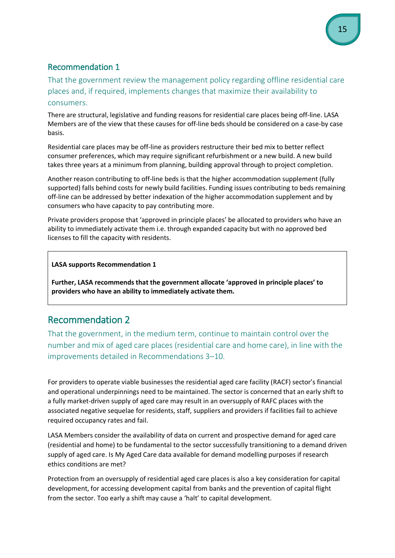That the government review the management policy regarding offline residential care places and, if required, implements changes that maximize their availability to consumers.

There are structural, legislative and funding reasons for residential care places being off-line. LASA Members are of the view that these causes for off-line beds should be considered on a case-by case basis.

Residential care places may be off-line as providers restructure their bed mix to better reflect consumer preferences, which may require significant refurbishment or a new build. A new build takes three years at a minimum from planning, building approval through to project completion.

Another reason contributing to off-line beds is that the higher accommodation supplement (fully supported) falls behind costs for newly build facilities. Funding issues contributing to beds remaining off-line can be addressed by better indexation of the higher accommodation supplement and by consumers who have capacity to pay contributing more.

Private providers propose that 'approved in principle places' be allocated to providers who have an ability to immediately activate them i.e. through expanded capacity but with no approved bed licenses to fill the capacity with residents.

#### **LASA supports Recommendation 1**

**Further, LASA recommends that the government allocate 'approved in principle places' to providers who have an ability to immediately activate them.**

# Recommendation 2

That the government, in the medium term, continue to maintain control over the number and mix of aged care places (residential care and home care), in line with the improvements detailed in Recommendations 3–10.

For providers to operate viable businesses the residential aged care facility (RACF) sector's financial and operational underpinnings need to be maintained. The sector is concerned that an early shift to a fully market-driven supply of aged care may result in an oversupply of RAFC places with the associated negative sequelae for residents, staff, suppliers and providers if facilities fail to achieve required occupancy rates and fail.

LASA Members consider the availability of data on current and prospective demand for aged care (residential and home) to be fundamental to the sector successfully transitioning to a demand driven supply of aged care. Is My Aged Care data available for demand modelling purposes if research ethics conditions are met?

Protection from an oversupply of residential aged care places is also a key consideration for capital development, for accessing development capital from banks and the prevention of capital flight from the sector. Too early a shift may cause a 'halt' to capital development.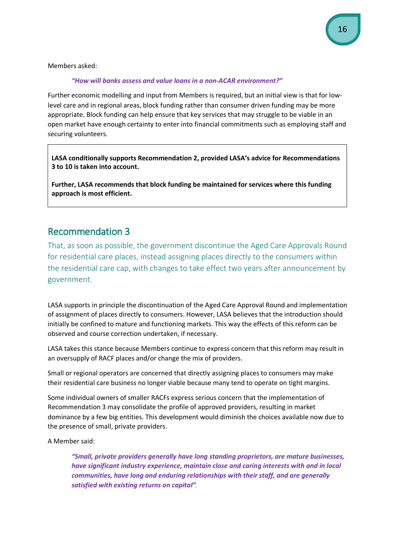Members asked:

#### *"How will banks assess and value loans in a non-ACAR environment?"*

Further economic modelling and input from Members is required, but an initial view is that for lowlevel care and in regional areas, block funding rather than consumer driven funding may be more appropriate. Block funding can help ensure that key services that may struggle to be viable in an open market have enough certainty to enter into financial commitments such as employing staff and securing volunteers.

**LASA conditionally supports Recommendation 2, provided LASA's advice for Recommendations 3 to 10 is taken into account.**

**Further, LASA recommends that block funding be maintained for services where this funding approach is most efficient.**

### Recommendation 3

That, as soon as possible, the government discontinue the Aged Care Approvals Round for residential care places, instead assigning places directly to the consumers within the residential care cap, with changes to take effect two years after announcement by government.

LASA supports in principle the discontinuation of the Aged Care Approval Round and implementation of assignment of places directly to consumers. However, LASA believes that the introduction should initially be confined to mature and functioning markets. This way the effects of this reform can be observed and course correction undertaken, if necessary.

LASA takes this stance because Members continue to express concern that this reform may result in an oversupply of RACF places and/or change the mix of providers.

Small or regional operators are concerned that directly assigning places to consumers may make their residential care business no longer viable because many tend to operate on tight margins.

Some individual owners of smaller RACFs express serious concern that the implementation of Recommendation 3 may consolidate the profile of approved providers, resulting in market dominance by a few big entities. This development would diminish the choices available now due to the presence of small, private providers.

A Member said:

*"Small, private providers generally have long standing proprietors, are mature businesses, have significant industry experience, maintain close and caring interests with and in local communities, have long and enduring relationships with their staff, and are generally satisfied with existing returns on capital".*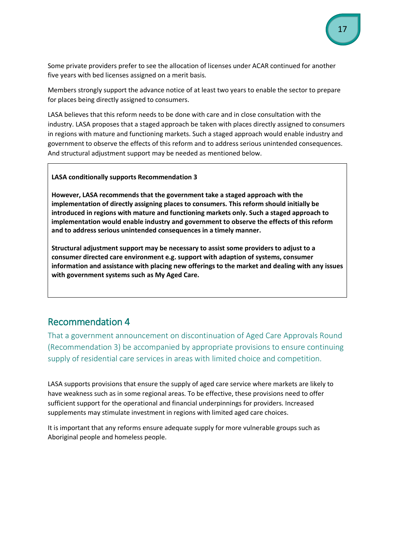Some private providers prefer to see the allocation of licenses under ACAR continued for another five years with bed licenses assigned on a merit basis.

Members strongly support the advance notice of at least two years to enable the sector to prepare for places being directly assigned to consumers.

LASA believes that this reform needs to be done with care and in close consultation with the industry. LASA proposes that a staged approach be taken with places directly assigned to consumers in regions with mature and functioning markets. Such a staged approach would enable industry and government to observe the effects of this reform and to address serious unintended consequences. And structural adjustment support may be needed as mentioned below.

#### **LASA conditionally supports Recommendation 3**

**However, LASA recommends that the government take a staged approach with the implementation of directly assigning places to consumers. This reform should initially be introduced in regions with mature and functioning markets only. Such a staged approach to implementation would enable industry and government to observe the effects of this reform and to address serious unintended consequences in a timely manner.**

**Structural adjustment support may be necessary to assist some providers to adjust to a consumer directed care environment e.g. support with adaption of systems, consumer information and assistance with placing new offerings to the market and dealing with any issues with government systems such as My Aged Care.** 

# Recommendation 4

That a government announcement on discontinuation of Aged Care Approvals Round (Recommendation 3) be accompanied by appropriate provisions to ensure continuing supply of residential care services in areas with limited choice and competition.

LASA supports provisions that ensure the supply of aged care service where markets are likely to have weakness such as in some regional areas. To be effective, these provisions need to offer sufficient support for the operational and financial underpinnings for providers. Increased supplements may stimulate investment in regions with limited aged care choices.

It is important that any reforms ensure adequate supply for more vulnerable groups such as Aboriginal people and homeless people.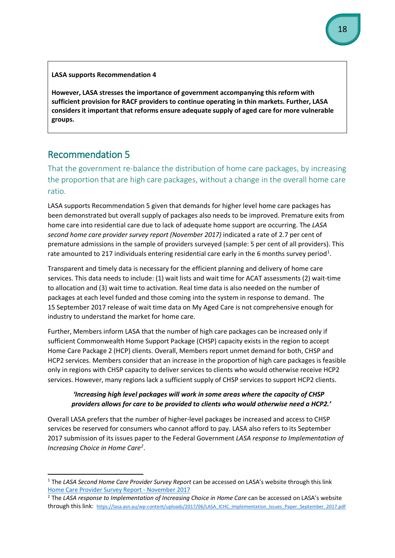**LASA supports Recommendation 4**

**However, LASA stresses the importance of government accompanying this reform with sufficient provision for RACF providers to continue operating in thin markets. Further, LASA considers it important that reforms ensure adequate supply of aged care for more vulnerable groups.** 

# Recommendation 5

That the government re-balance the distribution of home care packages, by increasing the proportion that are high care packages, without a change in the overall home care ratio.

LASA supports Recommendation 5 given that demands for higher level home care packages has been demonstrated but overall supply of packages also needs to be improved. Premature exits from home care into residential care due to lack of adequate home support are occurring. The *LASA second home care provider survey report (November 2017)* indicated a rate of 2.7 per cent of premature admissions in the sample of providers surveyed (sample: 5 per cent of all providers). This rate amounted to 2[1](#page-17-0)7 individuals entering residential care early in the 6 months survey period<sup>1</sup>.

Transparent and timely data is necessary for the efficient planning and delivery of home care services. This data needs to include: (1) wait lists and wait time for ACAT assessments (2) wait-time to allocation and (3) wait time to activation. Real time data is also needed on the number of packages at each level funded and those coming into the system in response to demand. The 15 September 2017 release of wait time data on My Aged Care is not comprehensive enough for industry to understand the market for home care.

Further, Members inform LASA that the number of high care packages can be increased only if sufficient Commonwealth Home Support Package (CHSP) capacity exists in the region to accept Home Care Package 2 (HCP) clients. Overall, Members report unmet demand for both, CHSP and HCP2 services. Members consider that an increase in the proportion of high care packages is feasible only in regions with CHSP capacity to deliver services to clients who would otherwise receive HCP2 services. However, many regions lack a sufficient supply of CHSP services to support HCP2 clients.

#### *'Increasing high level packages will work in some areas where the capacity of CHSP providers allows for care to be provided to clients who would otherwise need a HCP2.'*

Overall LASA prefers that the number of higher-level packages be increased and access to CHSP services be reserved for consumers who cannot afford to pay. LASA also refers to its September 2017 submission of its issues paper to the Federal Government *LASA response to Implementation of Increasing Choice in Home Care[2](#page-17-1)* .

<span id="page-17-0"></span> <sup>1</sup> The *LASA Second Home Care Provider Survey Report* can be accessed on LASA's website through this link

<span id="page-17-1"></span>Home Care Provider Survey Report - November 2017<br><sup>2</sup> The *LASA response to Implementation of Increasing Choice in Home Care* can be accessed on LASA's website through this link: [https://lasa.asn.au/wp-content/uploads/2017/06/LASA\\_ICHC\\_Implementation\\_Issues\\_Paper\\_September\\_2017.pdf](https://lasa.asn.au/wp-content/uploads/2017/06/LASA_ICHC_Implementation_Issues_Paper_September_2017.pdf)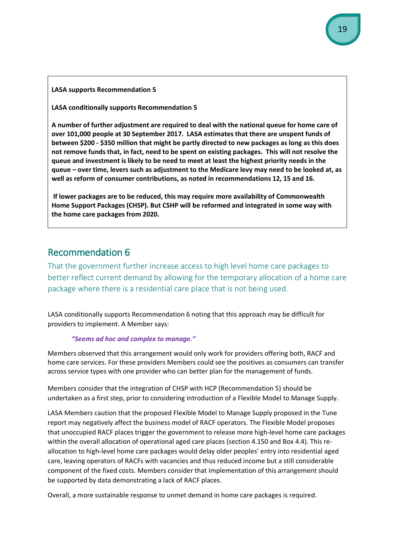#### **LASA supports Recommendation 5**

**LASA conditionally supports Recommendation 5**

**A number of further adjustment are required to deal with the national queue for home care of over 101,000 people at 30 September 2017. LASA estimates that there are unspent funds of between \$200 - \$350 million that might be partly directed to new packages as long as this does not remove funds that, in fact, need to be spent on existing packages. This will not resolve the queue and investment is likely to be need to meet at least the highest priority needs in the queue – over time, levers such as adjustment to the Medicare levy may need to be looked at, as well as reform of consumer contributions, as noted in recommendations 12, 15 and 16.** 

**If lower packages are to be reduced, this may require more availability of Commonwealth Home Support Packages (CHSP). But CSHP will be reformed and integrated in some way with the home care packages from 2020.** 

### Recommendation 6

That the government further increase access to high level home care packages to better reflect current demand by allowing for the temporary allocation of a home care package where there is a residential care place that is not being used.

LASA conditionally supports Recommendation 6 noting that this approach may be difficult for providers to implement. A Member says:

#### *"Seems ad hoc and complex to manage."*

Members observed that this arrangement would only work for providers offering both, RACF and home care services. For these providers Members could see the positives as consumers can transfer across service types with one provider who can better plan for the management of funds.

Members consider that the integration of CHSP with HCP (Recommendation 5) should be undertaken as a first step, prior to considering introduction of a Flexible Model to Manage Supply.

LASA Members caution that the proposed Flexible Model to Manage Supply proposed in the Tune report may negatively affect the business model of RACF operators. The Flexible Model proposes that unoccupied RACF places trigger the government to release more high-level home care packages within the overall allocation of operational aged care places (section 4.150 and Box 4.4). This reallocation to high-level home care packages would delay older peoples' entry into residential aged care, leaving operators of RACFs with vacancies and thus reduced income but a still considerable component of the fixed costs. Members consider that implementation of this arrangement should be supported by data demonstrating a lack of RACF places.

Overall, a more sustainable response to unmet demand in home care packages is required.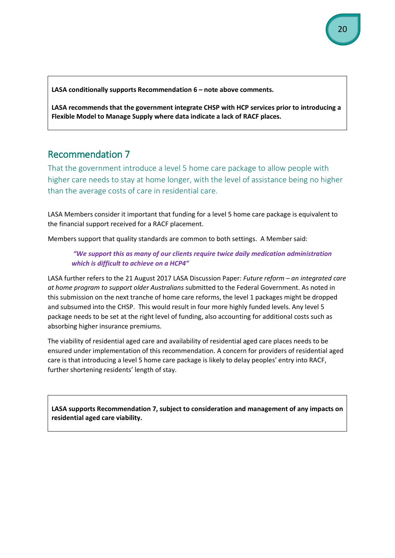**LASA conditionally supports Recommendation 6 – note above comments.**

**LASA recommends that the government integrate CHSP with HCP services prior to introducing a Flexible Model to Manage Supply where data indicate a lack of RACF places.**

# Recommendation 7

That the government introduce a level 5 home care package to allow people with higher care needs to stay at home longer, with the level of assistance being no higher than the average costs of care in residential care.

LASA Members consider it important that funding for a level 5 home care package is equivalent to the financial support received for a RACF placement.

Members support that quality standards are common to both settings. A Member said:

*"We support this as many of our clients require twice daily medication administration which is difficult to achieve on a HCP4"*

LASA further refers to the 21 August 2017 LASA Discussion Paper: *Future reform – an integrated care at home program to support older Australians* submitted to the Federal Government. As noted in this submission on the next tranche of home care reforms, the level 1 packages might be dropped and subsumed into the CHSP. This would result in four more highly funded levels. Any level 5 package needs to be set at the right level of funding, also accounting for additional costs such as absorbing higher insurance premiums.

The viability of residential aged care and availability of residential aged care places needs to be ensured under implementation of this recommendation. A concern for providers of residential aged care is that introducing a level 5 home care package is likely to delay peoples' entry into RACF, further shortening residents' length of stay.

**LASA supports Recommendation 7, subject to consideration and management of any impacts on residential aged care viability.**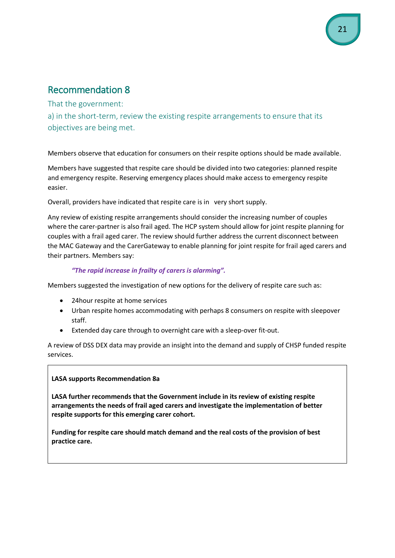That the government:

a) in the short-term, review the existing respite arrangements to ensure that its objectives are being met.

Members observe that education for consumers on their respite options should be made available.

Members have suggested that respite care should be divided into two categories: planned respite and emergency respite. Reserving emergency places should make access to emergency respite easier.

Overall, providers have indicated that respite care is in very short supply.

Any review of existing respite arrangements should consider the increasing number of couples where the carer-partner is also frail aged. The HCP system should allow for joint respite planning for couples with a frail aged carer. The review should further address the current disconnect between the MAC Gateway and the CarerGateway to enable planning for joint respite for frail aged carers and their partners. Members say:

#### *"The rapid increase in frailty of carers is alarming".*

Members suggested the investigation of new options for the delivery of respite care such as:

- 24hour respite at home services
- Urban respite homes accommodating with perhaps 8 consumers on respite with sleepover staff.
- Extended day care through to overnight care with a sleep-over fit-out.

A review of DSS DEX data may provide an insight into the demand and supply of CHSP funded respite services.

#### **LASA supports Recommendation 8a**

**LASA further recommends that the Government include in its review of existing respite arrangements the needs of frail aged carers and investigate the implementation of better respite supports for this emerging carer cohort.**

**Funding for respite care should match demand and the real costs of the provision of best practice care.**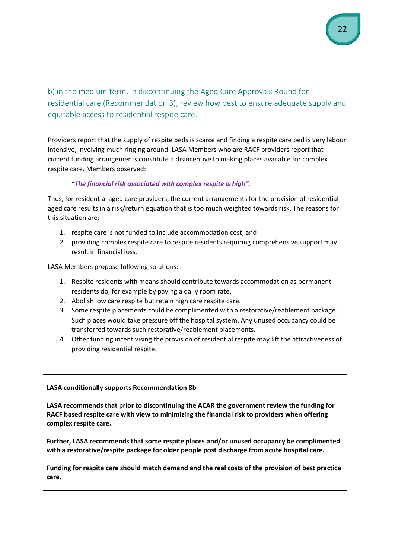b) in the medium term, in discontinuing the Aged Care Approvals Round for residential care (Recommendation 3), review how best to ensure adequate supply and equitable access to residential respite care.

Providers report that the supply of respite beds is scarce and finding a respite care bed is very labour intensive, involving much ringing around. LASA Members who are RACF providers report that current funding arrangements constitute a disincentive to making places available for complex respite care. Members observed:

#### "*The financial risk associated with complex respite is high".*

Thus, for residential aged care providers, the current arrangements for the provision of residential aged care results in a risk/return equation that is too much weighted towards risk. The reasons for this situation are:

- 1. respite care is not funded to include accommodation cost; and
- 2. providing complex respite care to respite residents requiring comprehensive support may result in financial loss.

LASA Members propose following solutions:

- 1. Respite residents with means should contribute towards accommodation as permanent residents do, for example by paying a daily room rate.
- 2. Abolish low care respite but retain high care respite care.
- 3. Some respite placements could be complimented with a restorative/reablement package. Such places would take pressure off the hospital system. Any unused occupancy could be transferred towards such restorative/reablement placements.
- 4. Other funding incentivising the provision of residential respite may lift the attractiveness of providing residential respite.

#### **LASA conditionally supports Recommendation 8b**

**LASA recommends that prior to discontinuing the ACAR the government review the funding for RACF based respite care with view to minimizing the financial risk to providers when offering complex respite care.**

**Further, LASA recommends that some respite places and/or unused occupancy be complimented with a restorative/respite package for older people post discharge from acute hospital care.**

**Funding for respite care should match demand and the real costs of the provision of best practice care.**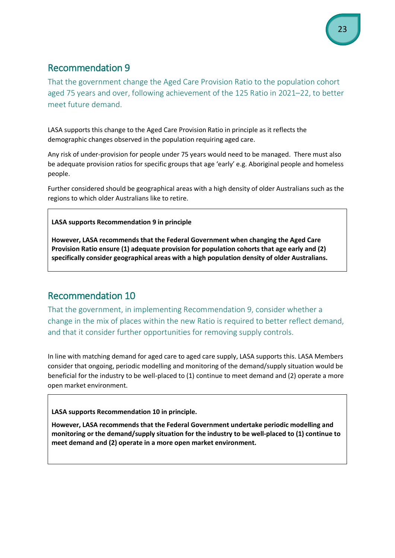That the government change the Aged Care Provision Ratio to the population cohort aged 75 years and over, following achievement of the 125 Ratio in 2021–22, to better meet future demand.

LASA supports this change to the Aged Care Provision Ratio in principle as it reflects the demographic changes observed in the population requiring aged care.

Any risk of under-provision for people under 75 years would need to be managed. There must also be adequate provision ratios for specific groups that age 'early' e.g. Aboriginal people and homeless people.

Further considered should be geographical areas with a high density of older Australians such as the regions to which older Australians like to retire.

#### **LASA supports Recommendation 9 in principle**

**However, LASA recommends that the Federal Government when changing the Aged Care Provision Ratio ensure (1) adequate provision for population cohorts that age early and (2) specifically consider geographical areas with a high population density of older Australians.**

# Recommendation 10

That the government, in implementing Recommendation 9, consider whether a change in the mix of places within the new Ratio is required to better reflect demand, and that it consider further opportunities for removing supply controls.

In line with matching demand for aged care to aged care supply, LASA supports this. LASA Members consider that ongoing, periodic modelling and monitoring of the demand/supply situation would be beneficial for the industry to be well-placed to (1) continue to meet demand and (2) operate a more open market environment.

**LASA supports Recommendation 10 in principle.**

**However, LASA recommends that the Federal Government undertake periodic modelling and monitoring or the demand/supply situation for the industry to be well-placed to (1) continue to meet demand and (2) operate in a more open market environment.**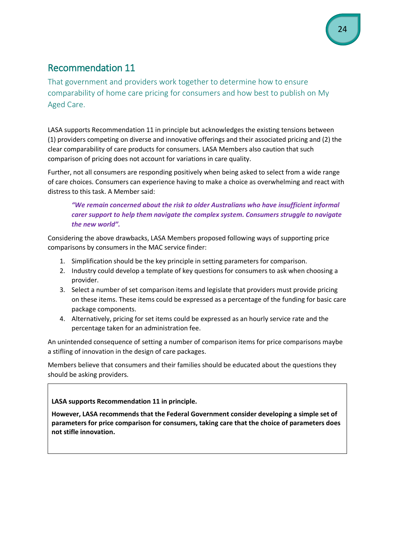That government and providers work together to determine how to ensure comparability of home care pricing for consumers and how best to publish on My Aged Care.

LASA supports Recommendation 11 in principle but acknowledges the existing tensions between (1) providers competing on diverse and innovative offerings and their associated pricing and (2) the clear comparability of care products for consumers. LASA Members also caution that such comparison of pricing does not account for variations in care quality.

Further, not all consumers are responding positively when being asked to select from a wide range of care choices. Consumers can experience having to make a choice as overwhelming and react with distress to this task. A Member said:

#### *"We remain concerned about the risk to older Australians who have insufficient informal carer support to help them navigate the complex system. Consumers struggle to navigate the new world".*

Considering the above drawbacks, LASA Members proposed following ways of supporting price comparisons by consumers in the MAC service finder:

- 1. Simplification should be the key principle in setting parameters for comparison.
- 2. Industry could develop a template of key questions for consumers to ask when choosing a provider.
- 3. Select a number of set comparison items and legislate that providers must provide pricing on these items. These items could be expressed as a percentage of the funding for basic care package components.
- 4. Alternatively, pricing for set items could be expressed as an hourly service rate and the percentage taken for an administration fee.

An unintended consequence of setting a number of comparison items for price comparisons maybe a stifling of innovation in the design of care packages.

Members believe that consumers and their families should be educated about the questions they should be asking providers.

**LASA supports Recommendation 11 in principle.**

**However, LASA recommends that the Federal Government consider developing a simple set of parameters for price comparison for consumers, taking care that the choice of parameters does not stifle innovation.**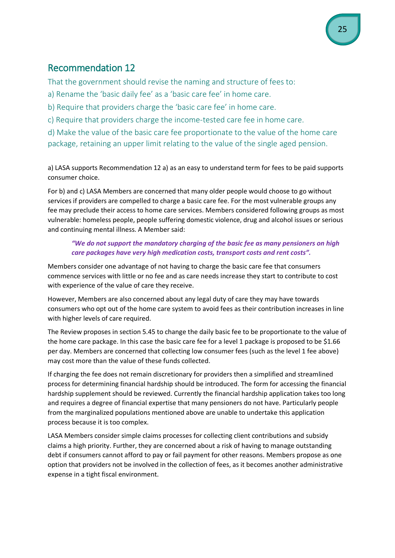That the government should revise the naming and structure of fees to:

a) Rename the 'basic daily fee' as a 'basic care fee' in home care.

b) Require that providers charge the 'basic care fee' in home care.

c) Require that providers charge the income-tested care fee in home care.

d) Make the value of the basic care fee proportionate to the value of the home care package, retaining an upper limit relating to the value of the single aged pension.

a) LASA supports Recommendation 12 a) as an easy to understand term for fees to be paid supports consumer choice.

For b) and c) LASA Members are concerned that many older people would choose to go without services if providers are compelled to charge a basic care fee. For the most vulnerable groups any fee may preclude their access to home care services. Members considered following groups as most vulnerable: homeless people, people suffering domestic violence, drug and alcohol issues or serious and continuing mental illness. A Member said:

#### *"We do not support the mandatory charging of the basic fee as many pensioners on high care packages have very high medication costs, transport costs and rent costs".*

Members consider one advantage of not having to charge the basic care fee that consumers commence services with little or no fee and as care needs increase they start to contribute to cost with experience of the value of care they receive.

However, Members are also concerned about any legal duty of care they may have towards consumers who opt out of the home care system to avoid fees as their contribution increases in line with higher levels of care required.

The Review proposes in section 5.45 to change the daily basic fee to be proportionate to the value of the home care package. In this case the basic care fee for a level 1 package is proposed to be \$1.66 per day. Members are concerned that collecting low consumer fees (such as the level 1 fee above) may cost more than the value of these funds collected.

If charging the fee does not remain discretionary for providers then a simplified and streamlined process for determining financial hardship should be introduced. The form for accessing the financial hardship supplement should be reviewed. Currently the financial hardship application takes too long and requires a degree of financial expertise that many pensioners do not have. Particularly people from the marginalized populations mentioned above are unable to undertake this application process because it is too complex.

LASA Members consider simple claims processes for collecting client contributions and subsidy claims a high priority. Further, they are concerned about a risk of having to manage outstanding debt if consumers cannot afford to pay or fail payment for other reasons. Members propose as one option that providers not be involved in the collection of fees, as it becomes another administrative expense in a tight fiscal environment.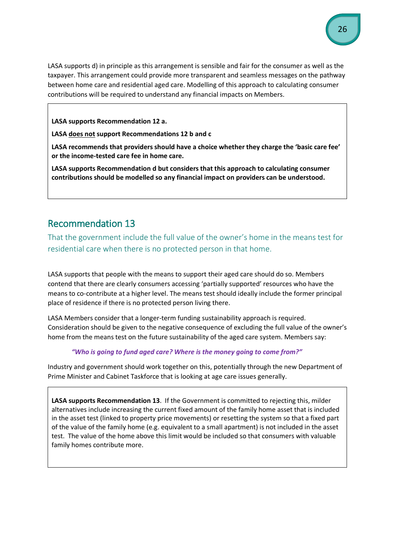LASA supports d) in principle as this arrangement is sensible and fair for the consumer as well as the taxpayer. This arrangement could provide more transparent and seamless messages on the pathway between home care and residential aged care. Modelling of this approach to calculating consumer contributions will be required to understand any financial impacts on Members.

#### **LASA supports Recommendation 12 a.**

#### **LASA does not support Recommendations 12 b and c**

**LASA recommends that providers should have a choice whether they charge the 'basic care fee' or the income-tested care fee in home care.**

**LASA supports Recommendation d but considers that this approach to calculating consumer contributions should be modelled so any financial impact on providers can be understood.**

### Recommendation 13

That the government include the full value of the owner's home in the means test for residential care when there is no protected person in that home.

LASA supports that people with the means to support their aged care should do so. Members contend that there are clearly consumers accessing 'partially supported' resources who have the means to co-contribute at a higher level. The means test should ideally include the former principal place of residence if there is no protected person living there.

LASA Members consider that a longer-term funding sustainability approach is required. Consideration should be given to the negative consequence of excluding the full value of the owner's home from the means test on the future sustainability of the aged care system. Members say:

#### *"Who is going to fund aged care? Where is the money going to come from?"*

Industry and government should work together on this, potentially through the new Department of Prime Minister and Cabinet Taskforce that is looking at age care issues generally.

**LASA supports Recommendation 13**. If the Government is committed to rejecting this, milder alternatives include increasing the current fixed amount of the family home asset that is included in the asset test (linked to property price movements) or resetting the system so that a fixed part of the value of the family home (e.g. equivalent to a small apartment) is not included in the asset test. The value of the home above this limit would be included so that consumers with valuable family homes contribute more.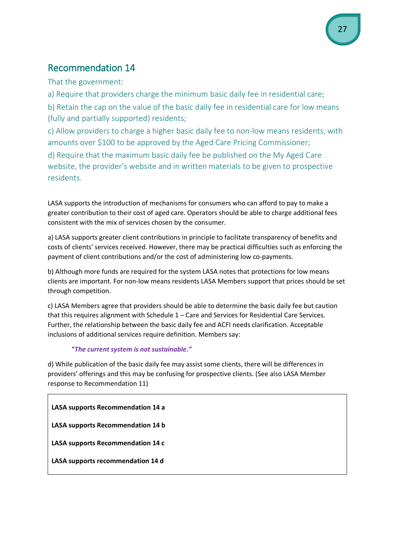That the government:

a) Require that providers charge the minimum basic daily fee in residential care;

b) Retain the cap on the value of the basic daily fee in residential care for low means (fully and partially supported) residents;

c) Allow providers to charge a higher basic daily fee to non-low means residents, with amounts over \$100 to be approved by the Aged Care Pricing Commissioner;

d) Require that the maximum basic daily fee be published on the My Aged Care website, the provider's website and in written materials to be given to prospective residents.

LASA supports the introduction of mechanisms for consumers who can afford to pay to make a greater contribution to their cost of aged care. Operators should be able to charge additional fees consistent with the mix of services chosen by the consumer.

a) LASA supports greater client contributions in principle to facilitate transparency of benefits and costs of clients' services received. However, there may be practical difficulties such as enforcing the payment of client contributions and/or the cost of administering low co-payments.

b) Although more funds are required for the system LASA notes that protections for low means clients are important. For non-low means residents LASA Members support that prices should be set through competition.

c) LASA Members agree that providers should be able to determine the basic daily fee but caution that this requires alignment with Schedule 1 – Care and Services for Residential Care Services. Further, the relationship between the basic daily fee and ACFI needs clarification. Acceptable inclusions of additional services require definition. Members say:

#### "*The current system is not sustainable."*

d) While publication of the basic daily fee may assist some clients, there will be differences in providers' offerings and this may be confusing for prospective clients. (See also LASA Member response to Recommendation 11)

**LASA supports Recommendation 14 a**

**LASA supports Recommendation 14 b**

**LASA supports Recommendation 14 c**

**LASA supports recommendation 14 d**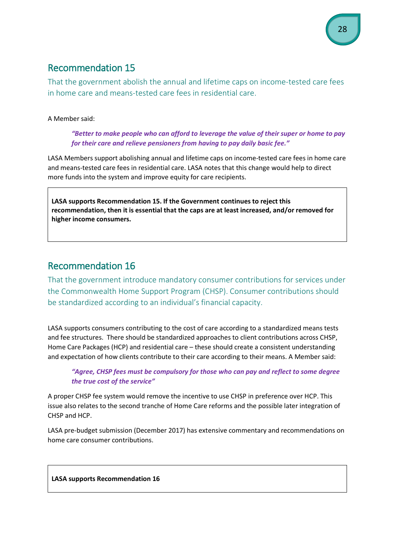That the government abolish the annual and lifetime caps on income-tested care fees in home care and means-tested care fees in residential care.

#### A Member said:

*"Better to make people who can afford to leverage the value of their super or home to pay for their care and relieve pensioners from having to pay daily basic fee."*

LASA Members support abolishing annual and lifetime caps on income-tested care fees in home care and means-tested care fees in residential care. LASA notes that this change would help to direct more funds into the system and improve equity for care recipients.

**LASA supports Recommendation 15. If the Government continues to reject this recommendation, then it is essential that the caps are at least increased, and/or removed for higher income consumers.** 

# Recommendation 16

That the government introduce mandatory consumer contributions for services under the Commonwealth Home Support Program (CHSP). Consumer contributions should be standardized according to an individual's financial capacity.

LASA supports consumers contributing to the cost of care according to a standardized means tests and fee structures. There should be standardized approaches to client contributions across CHSP, Home Care Packages (HCP) and residential care – these should create a consistent understanding and expectation of how clients contribute to their care according to their means. A Member said:

#### *"Agree, CHSP fees must be compulsory for those who can pay and reflect to some degree the true cost of the service"*

A proper CHSP fee system would remove the incentive to use CHSP in preference over HCP. This issue also relates to the second tranche of Home Care reforms and the possible later integration of CHSP and HCP.

LASA pre-budget submission (December 2017) has extensive commentary and recommendations on home care consumer contributions.

#### **LASA supports Recommendation 16**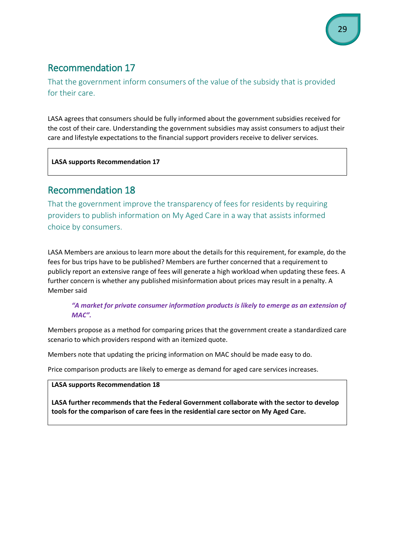That the government inform consumers of the value of the subsidy that is provided for their care.

LASA agrees that consumers should be fully informed about the government subsidies received for the cost of their care. Understanding the government subsidies may assist consumers to adjust their care and lifestyle expectations to the financial support providers receive to deliver services.

**LASA supports Recommendation 17**

# Recommendation 18

That the government improve the transparency of fees for residents by requiring providers to publish information on My Aged Care in a way that assists informed choice by consumers.

LASA Members are anxious to learn more about the details for this requirement, for example, do the fees for bus trips have to be published? Members are further concerned that a requirement to publicly report an extensive range of fees will generate a high workload when updating these fees. A further concern is whether any published misinformation about prices may result in a penalty. A Member said

#### *"A market for private consumer information products is likely to emerge as an extension of MAC".*

Members propose as a method for comparing prices that the government create a standardized care scenario to which providers respond with an itemized quote.

Members note that updating the pricing information on MAC should be made easy to do.

Price comparison products are likely to emerge as demand for aged care services increases.

#### **LASA supports Recommendation 18**

**LASA further recommends that the Federal Government collaborate with the sector to develop tools for the comparison of care fees in the residential care sector on My Aged Care.**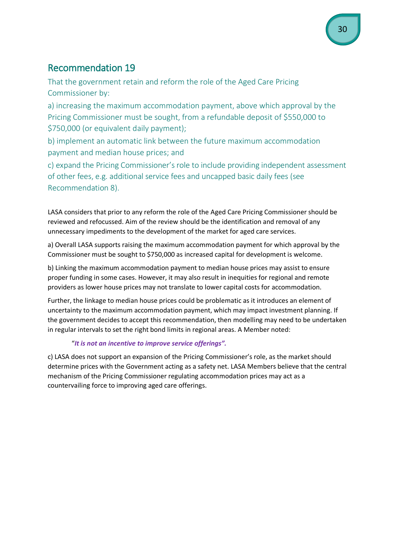That the government retain and reform the role of the Aged Care Pricing Commissioner by:

a) increasing the maximum accommodation payment, above which approval by the Pricing Commissioner must be sought, from a refundable deposit of \$550,000 to \$750,000 (or equivalent daily payment);

b) implement an automatic link between the future maximum accommodation payment and median house prices; and

c) expand the Pricing Commissioner's role to include providing independent assessment of other fees, e.g. additional service fees and uncapped basic daily fees (see Recommendation 8).

LASA considers that prior to any reform the role of the Aged Care Pricing Commissioner should be reviewed and refocussed. Aim of the review should be the identification and removal of any unnecessary impediments to the development of the market for aged care services.

a) Overall LASA supports raising the maximum accommodation payment for which approval by the Commissioner must be sought to \$750,000 as increased capital for development is welcome.

b) Linking the maximum accommodation payment to median house prices may assist to ensure proper funding in some cases. However, it may also result in inequities for regional and remote providers as lower house prices may not translate to lower capital costs for accommodation.

Further, the linkage to median house prices could be problematic as it introduces an element of uncertainty to the maximum accommodation payment, which may impact investment planning. If the government decides to accept this recommendation, then modelling may need to be undertaken in regular intervals to set the right bond limits in regional areas. A Member noted:

### "*It is not an incentive to improve service offerings".*

c) LASA does not support an expansion of the Pricing Commissioner's role, as the market should determine prices with the Government acting as a safety net. LASA Members believe that the central mechanism of the Pricing Commissioner regulating accommodation prices may act as a countervailing force to improving aged care offerings.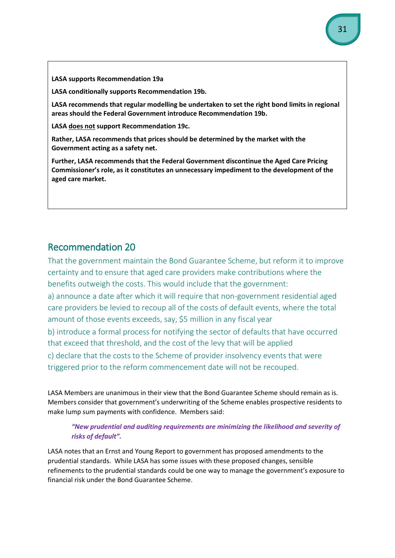**LASA supports Recommendation 19a**

**LASA conditionally supports Recommendation 19b.**

**LASA recommends that regular modelling be undertaken to set the right bond limits in regional areas should the Federal Government introduce Recommendation 19b.**

**LASA does not support Recommendation 19c.**

**Rather, LASA recommends that prices should be determined by the market with the Government acting as a safety net.**

**Further, LASA recommends that the Federal Government discontinue the Aged Care Pricing Commissioner's role, as it constitutes an unnecessary impediment to the development of the aged care market.**

### Recommendation 20

That the government maintain the Bond Guarantee Scheme, but reform it to improve certainty and to ensure that aged care providers make contributions where the benefits outweigh the costs. This would include that the government:

a) announce a date after which it will require that non-government residential aged care providers be levied to recoup all of the costs of default events, where the total amount of those events exceeds, say, \$5 million in any fiscal year

b) introduce a formal process for notifying the sector of defaults that have occurred that exceed that threshold, and the cost of the levy that will be applied

c) declare that the costs to the Scheme of provider insolvency events that were triggered prior to the reform commencement date will not be recouped.

LASA Members are unanimous in their view that the Bond Guarantee Scheme should remain as is. Members consider that government's underwriting of the Scheme enables prospective residents to make lump sum payments with confidence. Members said:

#### *"New prudential and auditing requirements are minimizing the likelihood and severity of risks of default".*

LASA notes that an Ernst and Young Report to government has proposed amendments to the prudential standards. While LASA has some issues with these proposed changes, sensible refinements to the prudential standards could be one way to manage the government's exposure to financial risk under the Bond Guarantee Scheme.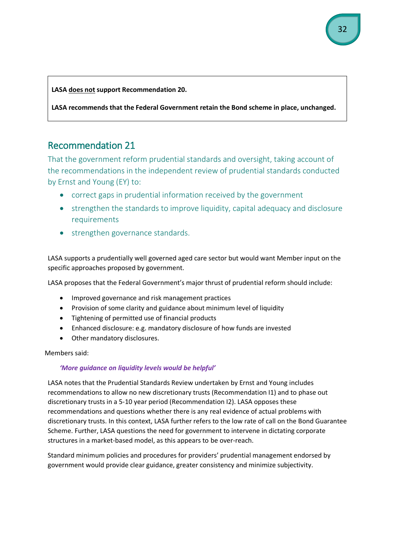**LASA does not support Recommendation 20.** 

**LASA recommends that the Federal Government retain the Bond scheme in place, unchanged.**

# Recommendation 21

That the government reform prudential standards and oversight, taking account of the recommendations in the independent review of prudential standards conducted by Ernst and Young (EY) to:

- correct gaps in prudential information received by the government
- strengthen the standards to improve liquidity, capital adequacy and disclosure requirements
- strengthen governance standards.

LASA supports a prudentially well governed aged care sector but would want Member input on the specific approaches proposed by government.

LASA proposes that the Federal Government's major thrust of prudential reform should include:

- Improved governance and risk management practices
- Provision of some clarity and guidance about minimum level of liquidity
- Tightening of permitted use of financial products
- Enhanced disclosure: e.g. mandatory disclosure of how funds are invested
- Other mandatory disclosures.

Members said:

#### *'More guidance on liquidity levels would be helpful'*

LASA notes that the Prudential Standards Review undertaken by Ernst and Young includes recommendations to allow no new discretionary trusts (Recommendation I1) and to phase out discretionary trusts in a 5-10 year period (Recommendation I2). LASA opposes these recommendations and questions whether there is any real evidence of actual problems with discretionary trusts. In this context, LASA further refers to the low rate of call on the Bond Guarantee Scheme. Further, LASA questions the need for government to intervene in dictating corporate structures in a market-based model, as this appears to be over-reach.

Standard minimum policies and procedures for providers' prudential management endorsed by government would provide clear guidance, greater consistency and minimize subjectivity.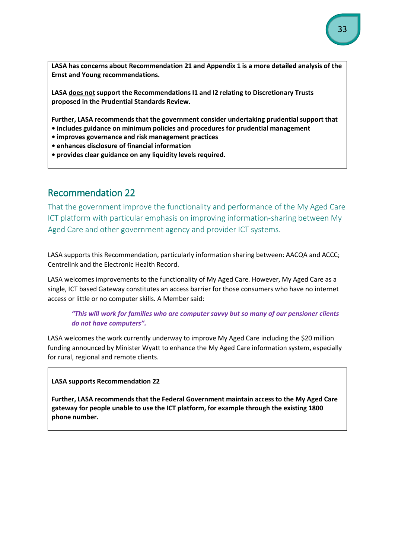**LASA has concerns about Recommendation 21 and Appendix 1 is a more detailed analysis of the Ernst and Young recommendations.** 

**LASA does not support the Recommendations I1 and I2 relating to Discretionary Trusts proposed in the Prudential Standards Review.**

**Further, LASA recommends that the government consider undertaking prudential support that** 

- **includes guidance on minimum policies and procedures for prudential management**
- **improves governance and risk management practices**
- **enhances disclosure of financial information**
- **provides clear guidance on any liquidity levels required.**

# Recommendation 22

That the government improve the functionality and performance of the My Aged Care ICT platform with particular emphasis on improving information-sharing between My Aged Care and other government agency and provider ICT systems.

LASA supports this Recommendation, particularly information sharing between: AACQA and ACCC; Centrelink and the Electronic Health Record.

LASA welcomes improvements to the functionality of My Aged Care. However, My Aged Care as a single, ICT based Gateway constitutes an access barrier for those consumers who have no internet access or little or no computer skills. A Member said:

#### *"This will work for families who are computer savvy but so many of our pensioner clients do not have computers".*

LASA welcomes the work currently underway to improve My Aged Care including the \$20 million funding announced by Minister Wyatt to enhance the My Aged Care information system, especially for rural, regional and remote clients.

#### **LASA supports Recommendation 22**

**Further, LASA recommends that the Federal Government maintain access to the My Aged Care gateway for people unable to use the ICT platform, for example through the existing 1800 phone number.**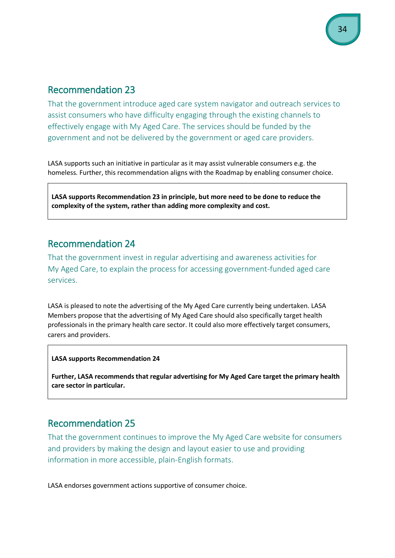That the government introduce aged care system navigator and outreach services to assist consumers who have difficulty engaging through the existing channels to effectively engage with My Aged Care. The services should be funded by the government and not be delivered by the government or aged care providers.

LASA supports such an initiative in particular as it may assist vulnerable consumers e.g. the homeless. Further, this recommendation aligns with the Roadmap by enabling consumer choice.

**LASA supports Recommendation 23 in principle, but more need to be done to reduce the complexity of the system, rather than adding more complexity and cost.**

# Recommendation 24

That the government invest in regular advertising and awareness activities for My Aged Care, to explain the process for accessing government-funded aged care services.

LASA is pleased to note the advertising of the My Aged Care currently being undertaken. LASA Members propose that the advertising of My Aged Care should also specifically target health professionals in the primary health care sector. It could also more effectively target consumers, carers and providers.

#### **LASA supports Recommendation 24**

**Further, LASA recommends that regular advertising for My Aged Care target the primary health care sector in particular.**

### Recommendation 25

That the government continues to improve the My Aged Care website for consumers and providers by making the design and layout easier to use and providing information in more accessible, plain-English formats.

LASA endorses government actions supportive of consumer choice.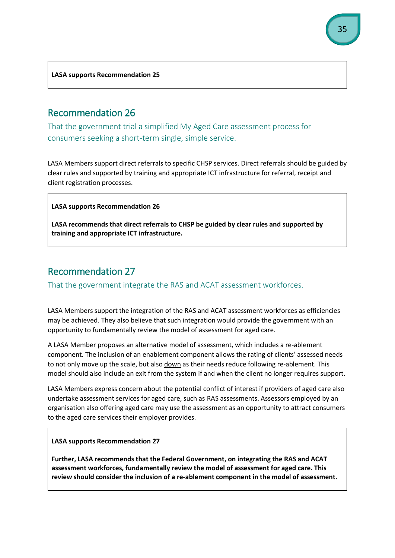**LASA supports Recommendation 25**

### Recommendation 26

That the government trial a simplified My Aged Care assessment process for consumers seeking a short-term single, simple service.

LASA Members support direct referrals to specific CHSP services. Direct referrals should be guided by clear rules and supported by training and appropriate ICT infrastructure for referral, receipt and client registration processes.

#### **LASA supports Recommendation 26**

**LASA recommends that direct referrals to CHSP be guided by clear rules and supported by training and appropriate ICT infrastructure.**

# Recommendation 27

That the government integrate the RAS and ACAT assessment workforces.

LASA Members support the integration of the RAS and ACAT assessment workforces as efficiencies may be achieved. They also believe that such integration would provide the government with an opportunity to fundamentally review the model of assessment for aged care.

A LASA Member proposes an alternative model of assessment, which includes a re-ablement component. The inclusion of an enablement component allows the rating of clients' assessed needs to not only move up the scale, but also down as their needs reduce following re-ablement. This model should also include an exit from the system if and when the client no longer requires support.

LASA Members express concern about the potential conflict of interest if providers of aged care also undertake assessment services for aged care, such as RAS assessments. Assessors employed by an organisation also offering aged care may use the assessment as an opportunity to attract consumers to the aged care services their employer provides.

**LASA supports Recommendation 27**

**Further, LASA recommends that the Federal Government, on integrating the RAS and ACAT assessment workforces, fundamentally review the model of assessment for aged care. This review should consider the inclusion of a re-ablement component in the model of assessment.**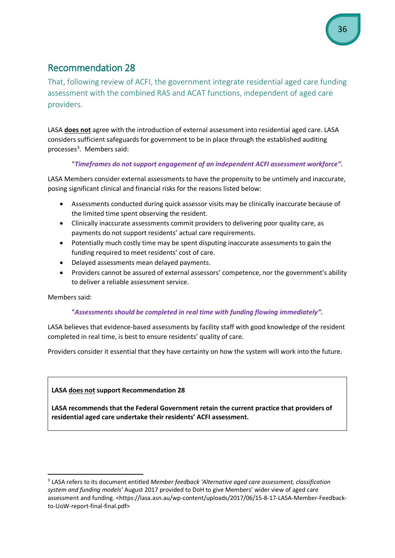That, following review of ACFI, the government integrate residential aged care funding assessment with the combined RAS and ACAT functions, independent of aged care providers.

LASA **does not** agree with the introduction of external assessment into residential aged care. LASA considers sufficient safeguards for government to be in place through the established auditing processes<sup>[3](#page-35-0)</sup>. Members said:

#### "*Timeframes do not support engagement of an independent ACFI assessment workforce".*

LASA Members consider external assessments to have the propensity to be untimely and inaccurate, posing significant clinical and financial risks for the reasons listed below:

- Assessments conducted during quick assessor visits may be clinically inaccurate because of the limited time spent observing the resident.
- Clinically inaccurate assessments commit providers to delivering poor quality care, as payments do not support residents' actual care requirements.
- Potentially much costly time may be spent disputing inaccurate assessments to gain the funding required to meet residents' cost of care.
- Delayed assessments mean delayed payments.
- Providers cannot be assured of external assessors' competence, nor the government's ability to deliver a reliable assessment service.

Members said:

#### "*Assessments should be completed in real time with funding flowing immediately".*

LASA believes that evidence-based assessments by facility staff with good knowledge of the resident completed in real time, is best to ensure residents' quality of care.

Providers consider it essential that they have certainty on how the system will work into the future.

#### **LASA does not support Recommendation 28**

**LASA recommends that the Federal Government retain the current practice that providers of residential aged care undertake their residents' ACFI assessment.** 

<span id="page-35-0"></span> <sup>3</sup> LASA refers to its document entitled *Member feedback 'Alternative aged care assessment, classification system and funding models'* August 2017 provided to DoH to give Members' wider view of aged care assessment and funding. <https://lasa.asn.au/wp-content/uploads/2017/06/15-8-17-LASA-Member-Feedbackto-UoW-report-final-final.pdf>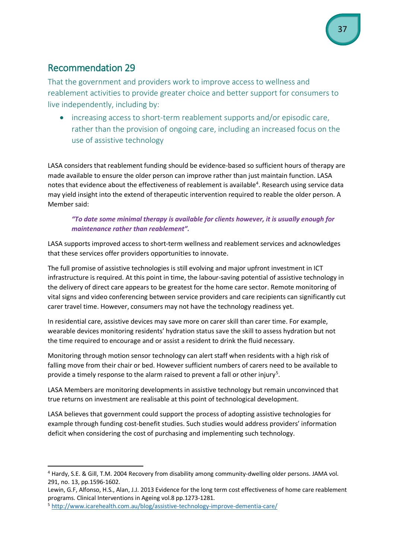That the government and providers work to improve access to wellness and reablement activities to provide greater choice and better support for consumers to live independently, including by:

• increasing access to short-term reablement supports and/or episodic care, rather than the provision of ongoing care, including an increased focus on the use of assistive technology

LASA considers that reablement funding should be evidence-based so sufficient hours of therapy are made available to ensure the older person can improve rather than just maintain function. LASA notes that evidence about the effectiveness of reablement is available<sup>[4](#page-36-0)</sup>. Research using service data may yield insight into the extend of therapeutic intervention required to reable the older person. A Member said:

#### *"To date some minimal therapy is available for clients however, it is usually enough for maintenance rather than reablement".*

LASA supports improved access to short-term wellness and reablement services and acknowledges that these services offer providers opportunities to innovate.

The full promise of assistive technologies is still evolving and major upfront investment in ICT infrastructure is required. At this point in time, the labour-saving potential of assistive technology in the delivery of direct care appears to be greatest for the home care sector. Remote monitoring of vital signs and video conferencing between service providers and care recipients can significantly cut carer travel time. However, consumers may not have the technology readiness yet.

In residential care, assistive devices may save more on carer skill than carer time. For example, wearable devices monitoring residents' hydration status save the skill to assess hydration but not the time required to encourage and or assist a resident to drink the fluid necessary.

Monitoring through motion sensor technology can alert staff when residents with a high risk of falling move from their chair or bed. However sufficient numbers of carers need to be available to provide a timely response to the alarm raised to prevent a fall or other injury<sup>[5](#page-36-1)</sup>.

LASA Members are monitoring developments in assistive technology but remain unconvinced that true returns on investment are realisable at this point of technological development.

LASA believes that government could support the process of adopting assistive technologies for example through funding cost-benefit studies. Such studies would address providers' information deficit when considering the cost of purchasing and implementing such technology.

<span id="page-36-0"></span> <sup>4</sup> Hardy, S.E. & Gill, T.M. 2004 Recovery from disability among community-dwelling older persons. JAMA vol. 291, no. 13, pp.1596-1602.

Lewin, G.F, Alfonso, H.S., Alan, J.J. 2013 Evidence for the long term cost effectiveness of home care reablement programs. Clinical Interventions in Ageing vol.8 pp.1273-1281.

<span id="page-36-1"></span><sup>5</sup> <http://www.icarehealth.com.au/blog/assistive-technology-improve-dementia-care/>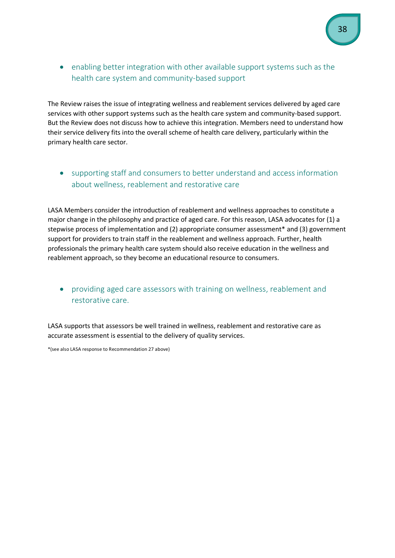• enabling better integration with other available support systems such as the health care system and community-based support

The Review raises the issue of integrating wellness and reablement services delivered by aged care services with other support systems such as the health care system and community-based support. But the Review does not discuss how to achieve this integration. Members need to understand how their service delivery fits into the overall scheme of health care delivery, particularly within the primary health care sector.

• supporting staff and consumers to better understand and access information about wellness, reablement and restorative care

LASA Members consider the introduction of reablement and wellness approaches to constitute a major change in the philosophy and practice of aged care. For this reason, LASA advocates for (1) a stepwise process of implementation and (2) appropriate consumer assessment\* and (3) government support for providers to train staff in the reablement and wellness approach. Further, health professionals the primary health care system should also receive education in the wellness and reablement approach, so they become an educational resource to consumers.

• providing aged care assessors with training on wellness, reablement and restorative care.

LASA supports that assessors be well trained in wellness, reablement and restorative care as accurate assessment is essential to the delivery of quality services.

\*(see also LASA response to Recommendation 27 above)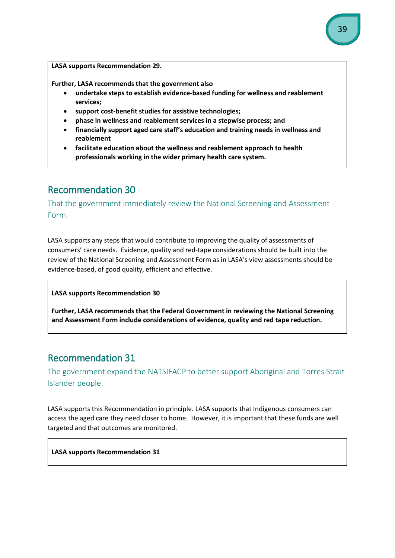**LASA supports Recommendation 29.**

**Further, LASA recommends that the government also**

- **undertake steps to establish evidence-based funding for wellness and reablement services;**
- **support cost-benefit studies for assistive technologies;**
- **phase in wellness and reablement services in a stepwise process; and**
- **financially support aged care staff's education and training needs in wellness and reablement**
- **facilitate education about the wellness and reablement approach to health professionals working in the wider primary health care system.**

# Recommendation 30

That the government immediately review the National Screening and Assessment Form.

LASA supports any steps that would contribute to improving the quality of assessments of consumers' care needs. Evidence, quality and red-tape considerations should be built into the review of the National Screening and Assessment Form as in LASA's view assessments should be evidence-based, of good quality, efficient and effective.

**LASA supports Recommendation 30**

**Further, LASA recommends that the Federal Government in reviewing the National Screening and Assessment Form include considerations of evidence, quality and red tape reduction.**

# Recommendation 31

The government expand the NATSIFACP to better support Aboriginal and Torres Strait Islander people.

LASA supports this Recommendation in principle. LASA supports that Indigenous consumers can access the aged care they need closer to home. However, it is important that these funds are well targeted and that outcomes are monitored.

**LASA supports Recommendation 31**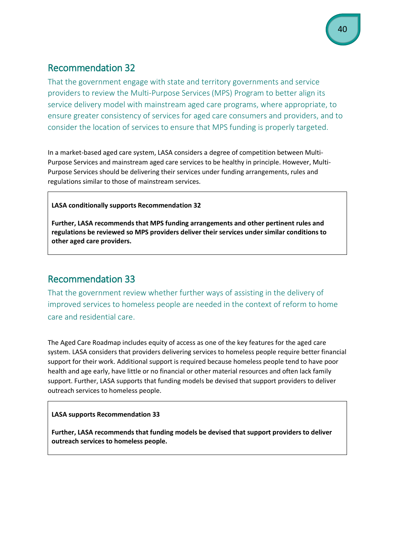That the government engage with state and territory governments and service providers to review the Multi-Purpose Services (MPS) Program to better align its service delivery model with mainstream aged care programs, where appropriate, to ensure greater consistency of services for aged care consumers and providers, and to consider the location of services to ensure that MPS funding is properly targeted.

In a market-based aged care system, LASA considers a degree of competition between Multi-Purpose Services and mainstream aged care services to be healthy in principle. However, Multi-Purpose Services should be delivering their services under funding arrangements, rules and regulations similar to those of mainstream services.

#### **LASA conditionally supports Recommendation 32**

**Further, LASA recommends that MPS funding arrangements and other pertinent rules and regulations be reviewed so MPS providers deliver their services under similar conditions to other aged care providers.**

# Recommendation 33

That the government review whether further ways of assisting in the delivery of improved services to homeless people are needed in the context of reform to home care and residential care.

The Aged Care Roadmap includes equity of access as one of the key features for the aged care system. LASA considers that providers delivering services to homeless people require better financial support for their work. Additional support is required because homeless people tend to have poor health and age early, have little or no financial or other material resources and often lack family support. Further, LASA supports that funding models be devised that support providers to deliver outreach services to homeless people.

#### **LASA supports Recommendation 33**

**Further, LASA recommends that funding models be devised that support providers to deliver outreach services to homeless people.**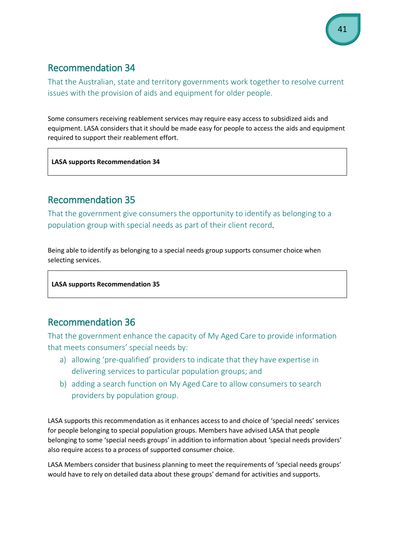That the Australian, state and territory governments work together to resolve current issues with the provision of aids and equipment for older people.

Some consumers receiving reablement services may require easy access to subsidized aids and equipment. LASA considers that it should be made easy for people to access the aids and equipment required to support their reablement effort.

**LASA supports Recommendation 34**

# Recommendation 35

That the government give consumers the opportunity to identify as belonging to a population group with special needs as part of their client record.

Being able to identify as belonging to a special needs group supports consumer choice when selecting services.

**LASA supports Recommendation 35**

# Recommendation 36

That the government enhance the capacity of My Aged Care to provide information that meets consumers' special needs by:

- a) allowing 'pre-qualified' providers to indicate that they have expertise in delivering services to particular population groups; and
- b) adding a search function on My Aged Care to allow consumers to search providers by population group.

LASA supports this recommendation as it enhances access to and choice of 'special needs' services for people belonging to special population groups. Members have advised LASA that people belonging to some 'special needs groups' in addition to information about 'special needs providers' also require access to a process of supported consumer choice.

LASA Members consider that business planning to meet the requirements of 'special needs groups' would have to rely on detailed data about these groups' demand for activities and supports.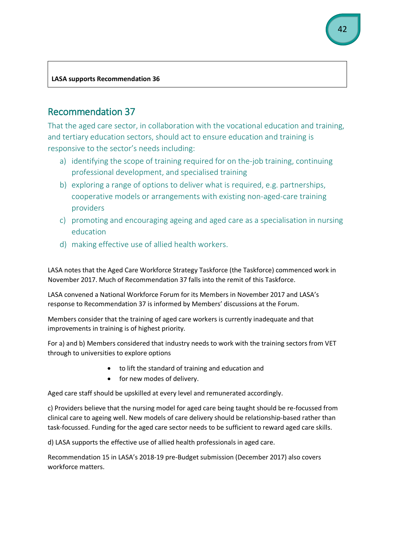#### **LASA supports Recommendation 36**

# Recommendation 37

That the aged care sector, in collaboration with the vocational education and training, and tertiary education sectors, should act to ensure education and training is responsive to the sector's needs including:

- a) identifying the scope of training required for on the-job training, continuing professional development, and specialised training
- b) exploring a range of options to deliver what is required, e.g. partnerships, cooperative models or arrangements with existing non-aged-care training providers
- c) promoting and encouraging ageing and aged care as a specialisation in nursing education
- d) making effective use of allied health workers.

LASA notes that the Aged Care Workforce Strategy Taskforce (the Taskforce) commenced work in November 2017. Much of Recommendation 37 falls into the remit of this Taskforce.

LASA convened a National Workforce Forum for its Members in November 2017 and LASA's response to Recommendation 37 is informed by Members' discussions at the Forum.

Members consider that the training of aged care workers is currently inadequate and that improvements in training is of highest priority.

For a) and b) Members considered that industry needs to work with the training sectors from VET through to universities to explore options

- to lift the standard of training and education and
- for new modes of delivery.

Aged care staff should be upskilled at every level and remunerated accordingly.

c) Providers believe that the nursing model for aged care being taught should be re-focussed from clinical care to ageing well. New models of care delivery should be relationship-based rather than task-focussed. Funding for the aged care sector needs to be sufficient to reward aged care skills.

d) LASA supports the effective use of allied health professionals in aged care.

Recommendation 15 in LASA's 2018-19 pre-Budget submission (December 2017) also covers workforce matters.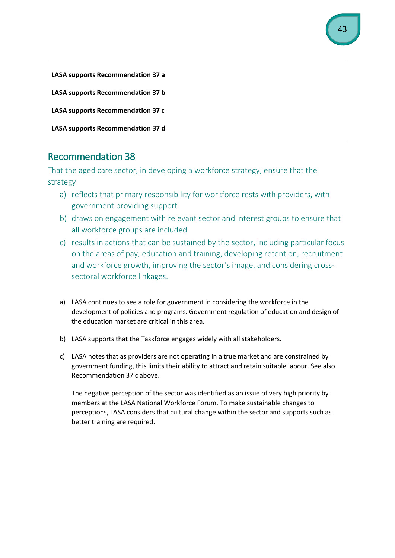

That the aged care sector, in developing a workforce strategy, ensure that the strategy:

- a) reflects that primary responsibility for workforce rests with providers, with government providing support
- b) draws on engagement with relevant sector and interest groups to ensure that all workforce groups are included
- c) results in actions that can be sustained by the sector, including particular focus on the areas of pay, education and training, developing retention, recruitment and workforce growth, improving the sector's image, and considering crosssectoral workforce linkages.
- a) LASA continues to see a role for government in considering the workforce in the development of policies and programs. Government regulation of education and design of the education market are critical in this area.
- b) LASA supports that the Taskforce engages widely with all stakeholders.
- c) LASA notes that as providers are not operating in a true market and are constrained by government funding, this limits their ability to attract and retain suitable labour. See also Recommendation 37 c above.

The negative perception of the sector was identified as an issue of very high priority by members at the LASA National Workforce Forum. To make sustainable changes to perceptions, LASA considers that cultural change within the sector and supports such as better training are required.